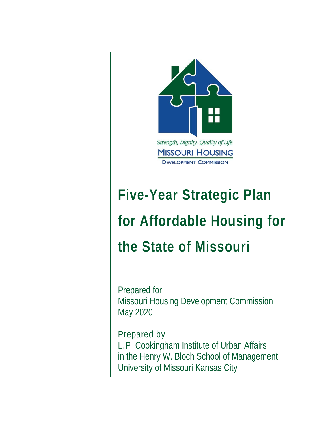

# **Five-Year Strategic Plan for Affordable Housing for the State of Missouri**

Prepared for Missouri Housing Development Commission May 2020

the contract of the contract of

Prepared by L.P. Cookingham Institute of Urban Affairs in the Henry W. Bloch School of Management University of Missouri Kansas City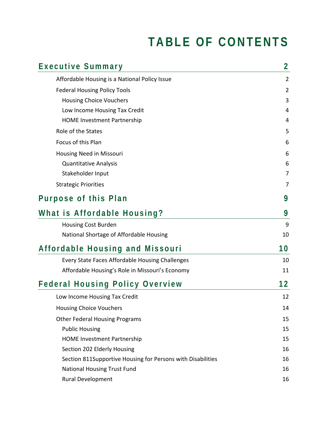## **TABLE OF CONTENTS**

| Executive Summary                                           | $\overline{2}$ |
|-------------------------------------------------------------|----------------|
| Affordable Housing is a National Policy Issue               | $\overline{2}$ |
| <b>Federal Housing Policy Tools</b>                         | $\overline{2}$ |
| <b>Housing Choice Vouchers</b>                              | 3              |
| Low Income Housing Tax Credit                               | 4              |
| <b>HOME Investment Partnership</b>                          | 4              |
| Role of the States                                          | 5              |
| Focus of this Plan                                          | 6              |
| Housing Need in Missouri                                    | 6              |
| <b>Quantitative Analysis</b>                                | 6              |
| Stakeholder Input                                           | 7              |
| <b>Strategic Priorities</b>                                 | 7              |
| Purpose of this Plan                                        | 9              |
| What is Affordable Housing?                                 | 9              |
| <b>Housing Cost Burden</b>                                  | 9              |
| National Shortage of Affordable Housing                     | 10             |
| Affordable Housing and Missouri                             | 10             |
| Every State Faces Affordable Housing Challenges             | 10             |
| Affordable Housing's Role in Missouri's Economy             | 11             |
| <b>Federal Housing Policy Overview</b>                      | 12             |
| Low Income Housing Tax Credit                               | 12             |
| <b>Housing Choice Vouchers</b>                              | 14             |
| <b>Other Federal Housing Programs</b>                       | 15             |
| <b>Public Housing</b>                                       | 15             |
| <b>HOME Investment Partnership</b>                          | 15             |
| Section 202 Elderly Housing                                 | 16             |
| Section 811Supportive Housing for Persons with Disabilities | 16             |
| <b>National Housing Trust Fund</b>                          | 16             |
| Rural Development                                           | 16             |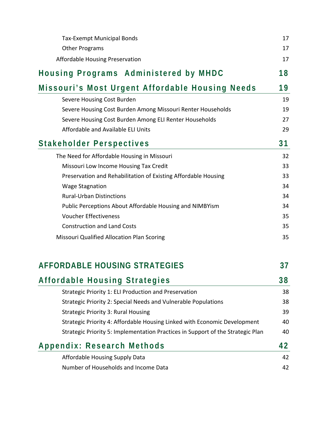| <b>Tax-Exempt Municipal Bonds</b>                                               | 17 |
|---------------------------------------------------------------------------------|----|
| <b>Other Programs</b>                                                           | 17 |
| Affordable Housing Preservation                                                 | 17 |
| Housing Programs Administered by MHDC                                           | 18 |
| Missouri's Most Urgent Affordable Housing Needs                                 | 19 |
| Severe Housing Cost Burden                                                      | 19 |
| Severe Housing Cost Burden Among Missouri Renter Households                     | 19 |
| Severe Housing Cost Burden Among ELI Renter Households                          | 27 |
| Affordable and Available ELI Units                                              | 29 |
| Stakeholder Perspectives                                                        | 31 |
| The Need for Affordable Housing in Missouri                                     | 32 |
| Missouri Low Income Housing Tax Credit                                          | 33 |
| Preservation and Rehabilitation of Existing Affordable Housing                  | 33 |
| <b>Wage Stagnation</b>                                                          | 34 |
| <b>Rural-Urban Distinctions</b>                                                 | 34 |
| Public Perceptions About Affordable Housing and NIMBYism                        | 34 |
| <b>Voucher Effectiveness</b>                                                    | 35 |
| <b>Construction and Land Costs</b>                                              | 35 |
| Missouri Qualified Allocation Plan Scoring                                      | 35 |
| <b>AFFORDABLE HOUSING STRATEGIES</b>                                            | 37 |
| Affordable Housing Strategies                                                   | 38 |
| Strategic Priority 1: ELI Production and Preservation                           | 38 |
| Strategic Priority 2: Special Needs and Vulnerable Populations                  | 38 |
| <b>Strategic Priority 3: Rural Housing</b>                                      | 39 |
| Strategic Priority 4: Affordable Housing Linked with Economic Development       | 40 |
| Strategic Priority 5: Implementation Practices in Support of the Strategic Plan | 40 |
| Appendix: Research Methods                                                      | 42 |
| Affordable Housing Supply Data                                                  | 42 |
| Number of Households and Income Data                                            | 42 |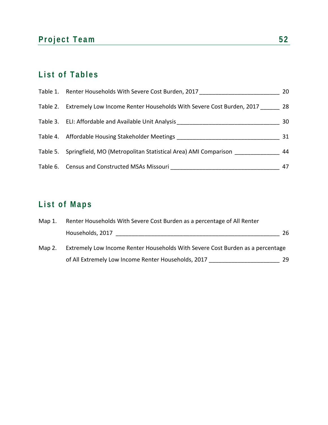## Project Team 52

## **List of Tables**

| Table 1. Renter Households With Severe Cost Burden, 2017                      | 20 |
|-------------------------------------------------------------------------------|----|
| Table 2. Extremely Low Income Renter Households With Severe Cost Burden, 2017 | 28 |
| Table 3. ELI: Affordable and Available Unit Analysis                          | 30 |
| Table 4. Affordable Housing Stakeholder Meetings                              | 31 |
| Table 5. Springfield, MO (Metropolitan Statistical Area) AMI Comparison       | 44 |
| Table 6. Census and Constructed MSAs Missouri                                 | 47 |

## **List of Maps**

| $Map_1$ . | Renter Households With Severe Cost Burden as a percentage of All Renter        |     |  |  |  |
|-----------|--------------------------------------------------------------------------------|-----|--|--|--|
|           | Households, 2017                                                               | 26  |  |  |  |
| Map 2.    | Extremely Low Income Renter Households With Severe Cost Burden as a percentage |     |  |  |  |
|           | of All Extremely Low Income Renter Households, 2017                            | 29. |  |  |  |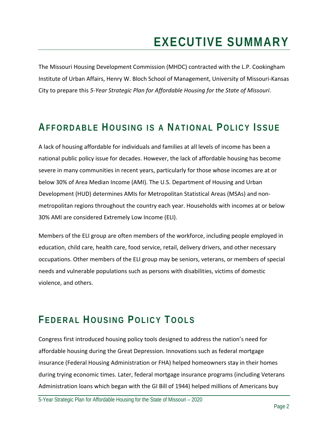## **EXECUTIVE SUMMARY**

The Missouri Housing Development Commission (MHDC) contracted with the L.P. Cookingham Institute of Urban Affairs, Henry W. Bloch School of Management, University of Missouri‐Kansas City to prepare this *5‐Year Strategic Plan for Affordable Housing for the State of Missouri*.

## **AFFORDABLE HOUSING IS A NATIONAL POLICY ISSUE**

A lack of housing affordable for individuals and families at all levels of income has been a national public policy issue for decades. However, the lack of affordable housing has become severe in many communities in recent years, particularly for those whose incomes are at or below 30% of Area Median Income (AMI). The U.S. Department of Housing and Urban Development (HUD) determines AMIs for Metropolitan Statistical Areas (MSAs) and non‐ metropolitan regions throughout the country each year. Households with incomes at or below 30% AMI are considered Extremely Low Income (ELI).

Members of the ELI group are often members of the workforce, including people employed in education, child care, health care, food service, retail, delivery drivers, and other necessary occupations. Other members of the ELI group may be seniors, veterans, or members of special needs and vulnerable populations such as persons with disabilities, victims of domestic violence, and others.

## **FEDERAL HOUSING POLICY TOOLS**

Congress first introduced housing policy tools designed to address the nation's need for affordable housing during the Great Depression. Innovations such as federal mortgage insurance (Federal Housing Administration or FHA) helped homeowners stay in their homes during trying economic times. Later, federal mortgage insurance programs (including Veterans Administration loans which began with the GI Bill of 1944) helped millions of Americans buy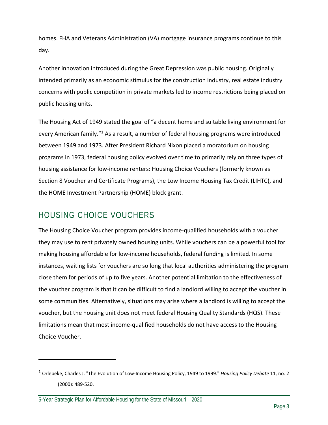homes. FHA and Veterans Administration (VA) mortgage insurance programs continue to this day.

Another innovation introduced during the Great Depression was public housing. Originally intended primarily as an economic stimulus for the construction industry, real estate industry concerns with public competition in private markets led to income restrictions being placed on public housing units.

The Housing Act of 1949 stated the goal of "a decent home and suitable living environment for every American family."<sup>1</sup> As a result, a number of federal housing programs were introduced between 1949 and 1973. After President Richard Nixon placed a moratorium on housing programs in 1973, federal housing policy evolved over time to primarily rely on three types of housing assistance for low‐income renters: Housing Choice Vouchers (formerly known as Section 8 Voucher and Certificate Programs), the Low Income Housing Tax Credit (LIHTC), and the HOME Investment Partnership (HOME) block grant.

### HOUSING CHOICE VOUCHERS

The Housing Choice Voucher program provides income‐qualified households with a voucher they may use to rent privately owned housing units. While vouchers can be a powerful tool for making housing affordable for low‐income households, federal funding is limited. In some instances, waiting lists for vouchers are so long that local authorities administering the program close them for periods of up to five years. Another potential limitation to the effectiveness of the voucher program is that it can be difficult to find a landlord willing to accept the voucher in some communities. Alternatively, situations may arise where a landlord is willing to accept the voucher, but the housing unit does not meet federal Housing Quality Standards (HQS). These limitations mean that most income‐qualified households do not have access to the Housing Choice Voucher.

<sup>1</sup> Orlebeke, Charles J. "The Evolution of Low‐Income Housing Policy, 1949 to 1999." *Housing Policy Debate* 11, no. 2 (2000): 489‐520.

<sup>5-</sup>Year Strategic Plan for Affordable Housing for the State of Missouri – 2020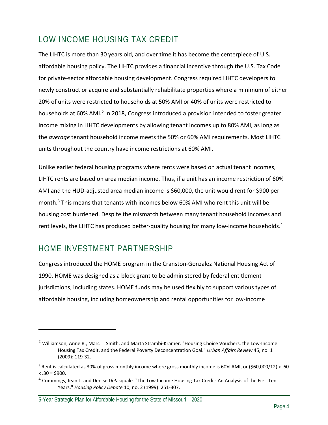### LOW INCOME HOUSING TAX CREDIT

The LIHTC is more than 30 years old, and over time it has become the centerpiece of U.S. affordable housing policy. The LIHTC provides a financial incentive through the U.S. Tax Code for private‐sector affordable housing development. Congress required LIHTC developers to newly construct or acquire and substantially rehabilitate properties where a minimum of either 20% of units were restricted to households at 50% AMI or 40% of units were restricted to households at 60% AMI.<sup>2</sup> In 2018, Congress introduced a provision intended to foster greater income mixing in LIHTC developments by allowing tenant incomes up to 80% AMI, as long as the *average* tenant household income meets the 50% or 60% AMI requirements. Most LIHTC units throughout the country have income restrictions at 60% AMI.

Unlike earlier federal housing programs where rents were based on actual tenant incomes, LIHTC rents are based on area median income. Thus, if a unit has an income restriction of 60% AMI and the HUD‐adjusted area median income is \$60,000, the unit would rent for \$900 per month.3 This means that tenants with incomes below 60% AMI who rent this unit will be housing cost burdened. Despite the mismatch between many tenant household incomes and rent levels, the LIHTC has produced better-quality housing for many low-income households.<sup>4</sup>

### HOME INVESTMENT PARTNERSHIP

Congress introduced the HOME program in the Cranston‐Gonzalez National Housing Act of 1990. HOME was designed as a block grant to be administered by federal entitlement jurisdictions, including states. HOME funds may be used flexibly to support various types of affordable housing, including homeownership and rental opportunities for low‐income

<sup>2</sup> Williamson, Anne R., Marc T. Smith, and Marta Strambi‐Kramer. "Housing Choice Vouchers, the Low‐Income Housing Tax Credit, and the Federal Poverty Deconcentration Goal." *Urban Affairs Review* 45, no. 1 (2009): 119‐32.

<sup>3</sup> Rent is calculated as 30% of gross monthly income where gross monthly income is 60% AMI, or (\$60,000/12) x .60  $x .30 = $900.$ 

<sup>&</sup>lt;sup>4</sup> Cummings, Jean L. and Denise DiPasquale. "The Low Income Housing Tax Credit: An Analysis of the First Ten Years." *Housing Policy Debate* 10, no. 2 (1999): 251‐307.

<sup>5-</sup>Year Strategic Plan for Affordable Housing for the State of Missouri – 2020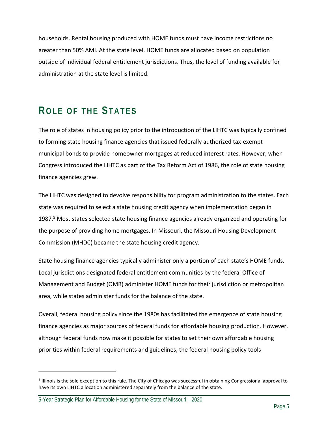households. Rental housing produced with HOME funds must have income restrictions no greater than 50% AMI. At the state level, HOME funds are allocated based on population outside of individual federal entitlement jurisdictions. Thus, the level of funding available for administration at the state level is limited.

## **ROLE OF THE STATES**

The role of states in housing policy prior to the introduction of the LIHTC was typically confined to forming state housing finance agencies that issued federally authorized tax‐exempt municipal bonds to provide homeowner mortgages at reduced interest rates. However, when Congress introduced the LIHTC as part of the Tax Reform Act of 1986, the role of state housing finance agencies grew.

The LIHTC was designed to devolve responsibility for program administration to the states. Each state was required to select a state housing credit agency when implementation began in 1987.5 Most states selected state housing finance agencies already organized and operating for the purpose of providing home mortgages. In Missouri, the Missouri Housing Development Commission (MHDC) became the state housing credit agency.

State housing finance agencies typically administer only a portion of each state's HOME funds. Local jurisdictions designated federal entitlement communities by the federal Office of Management and Budget (OMB) administer HOME funds for their jurisdiction or metropolitan area, while states administer funds for the balance of the state.

Overall, federal housing policy since the 1980s has facilitated the emergence of state housing finance agencies as major sources of federal funds for affordable housing production. However, although federal funds now make it possible for states to set their own affordable housing priorities within federal requirements and guidelines, the federal housing policy tools

<sup>&</sup>lt;sup>5</sup> Illinois is the sole exception to this rule. The City of Chicago was successful in obtaining Congressional approval to have its own LIHTC allocation administered separately from the balance of the state.

<sup>5-</sup>Year Strategic Plan for Affordable Housing for the State of Missouri – 2020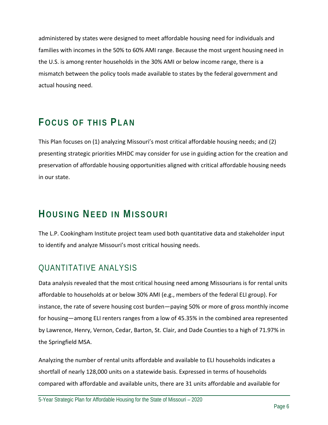administered by states were designed to meet affordable housing need for individuals and families with incomes in the 50% to 60% AMI range. Because the most urgent housing need in the U.S. is among renter households in the 30% AMI or below income range, there is a mismatch between the policy tools made available to states by the federal government and actual housing need.

## **FOCUS OF THIS PLAN**

This Plan focuses on (1) analyzing Missouri's most critical affordable housing needs; and (2) presenting strategic priorities MHDC may consider for use in guiding action for the creation and preservation of affordable housing opportunities aligned with critical affordable housing needs in our state.

## **HOUSING NEED IN MISSOURI**

The L.P. Cookingham Institute project team used both quantitative data and stakeholder input to identify and analyze Missouri's most critical housing needs.

### QUANTITATIVE ANALYSIS

Data analysis revealed that the most critical housing need among Missourians is for rental units affordable to households at or below 30% AMI (e.g., members of the federal ELI group). For instance, the rate of severe housing cost burden—paying 50% or more of gross monthly income for housing—among ELI renters ranges from a low of 45.35% in the combined area represented by Lawrence, Henry, Vernon, Cedar, Barton, St. Clair, and Dade Counties to a high of 71.97% in the Springfield MSA.

Analyzing the number of rental units affordable and available to ELI households indicates a shortfall of nearly 128,000 units on a statewide basis. Expressed in terms of households compared with affordable and available units, there are 31 units affordable and available for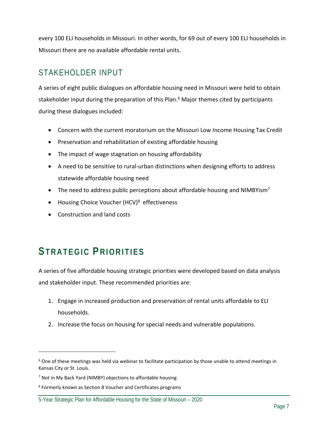every 100 ELI households in Missouri. In other words, for 69 out of every 100 ELI households in Missouri there are no available affordable rental units.

### STAKEHOLDER INPUT

A series of eight public dialogues on affordable housing need in Missouri were held to obtain stakeholder input during the preparation of this Plan.<sup>6</sup> Major themes cited by participants during these dialogues included:

- Concern with the current moratorium on the Missouri Low Income Housing Tax Credit
- Preservation and rehabilitation of existing affordable housing
- The impact of wage stagnation on housing affordability
- A need to be sensitive to rural-urban distinctions when designing efforts to address statewide affordable housing need
- The need to address public perceptions about affordable housing and NIMBYism<sup>7</sup>
- Housing Choice Voucher (HCV)<sup>8</sup> effectiveness
- Construction and land costs

## **STRATEGIC PRIORITIES**

A series of five affordable housing strategic priorities were developed based on data analysis and stakeholder input. These recommended priorities are:

- 1. Engage in increased production and preservation of rental units affordable to ELI households.
- 2. Increase the focus on housing for special needs and vulnerable populations.

<sup>&</sup>lt;sup>6</sup> One of these meetings was held via webinar to facilitate participation by those unable to attend meetings in Kansas City or St. Louis.

<sup>&</sup>lt;sup>7</sup> Not in My Back Yard (NIMBY) objections to affordable housing

<sup>8</sup> Formerly known as Section 8 Voucher and Certificates programs

<sup>5-</sup>Year Strategic Plan for Affordable Housing for the State of Missouri – 2020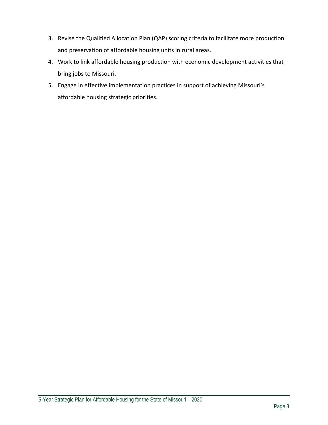- 3. Revise the Qualified Allocation Plan (QAP) scoring criteria to facilitate more production and preservation of affordable housing units in rural areas.
- 4. Work to link affordable housing production with economic development activities that bring jobs to Missouri.
- 5. Engage in effective implementation practices in support of achieving Missouri's affordable housing strategic priorities.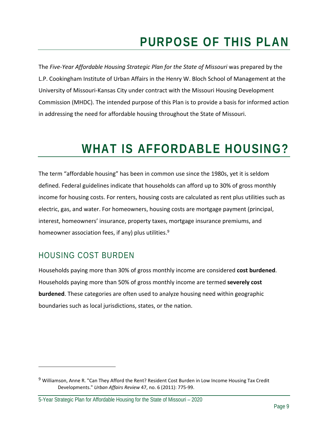## **PURPOSE OF THIS PLAN**

The *Five‐Year Affordable Housing Strategic Plan for the State of Missouri* was prepared by the L.P. Cookingham Institute of Urban Affairs in the Henry W. Bloch School of Management at the University of Missouri‐Kansas City under contract with the Missouri Housing Development Commission (MHDC). The intended purpose of this Plan is to provide a basis for informed action in addressing the need for affordable housing throughout the State of Missouri.

## **WHAT IS AFFORDABLE HOUSING?**

The term "affordable housing" has been in common use since the 1980s, yet it is seldom defined. Federal guidelines indicate that households can afford up to 30% of gross monthly income for housing costs. For renters, housing costs are calculated as rent plus utilities such as electric, gas, and water. For homeowners, housing costs are mortgage payment (principal, interest, homeowners' insurance, property taxes, mortgage insurance premiums, and homeowner association fees, if any) plus utilities.<sup>9</sup>

### HOUSING COST BURDEN

Households paying more than 30% of gross monthly income are considered **cost burdened**. Households paying more than 50% of gross monthly income are termed **severely cost burdened**. These categories are often used to analyze housing need within geographic boundaries such as local jurisdictions, states, or the nation.

<sup>&</sup>lt;sup>9</sup> Williamson, Anne R. "Can They Afford the Rent? Resident Cost Burden in Low Income Housing Tax Credit Developments." *Urban Affairs Review* 47, no. 6 (2011): 775‐99.

<sup>5-</sup>Year Strategic Plan for Affordable Housing for the State of Missouri – 2020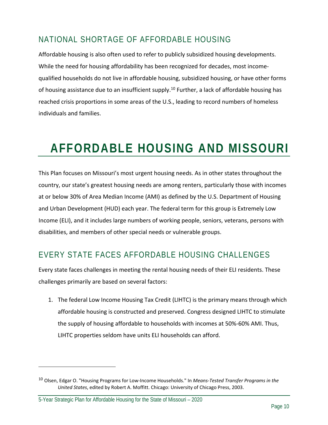### NATIONAL SHORTAGE OF AFFORDABLE HOUSING

Affordable housing is also often used to refer to publicly subsidized housing developments. While the need for housing affordability has been recognized for decades, most income‐ qualified households do not live in affordable housing, subsidized housing, or have other forms of housing assistance due to an insufficient supply.<sup>10</sup> Further, a lack of affordable housing has reached crisis proportions in some areas of the U.S., leading to record numbers of homeless individuals and families.

## **AFFORDABLE HOUSING AND MISSOURI**

This Plan focuses on Missouri's most urgent housing needs. As in other states throughout the country, our state's greatest housing needs are among renters, particularly those with incomes at or below 30% of Area Median Income (AMI) as defined by the U.S. Department of Housing and Urban Development (HUD) each year. The federal term for this group is Extremely Low Income (ELI), and it includes large numbers of working people, seniors, veterans, persons with disabilities, and members of other special needs or vulnerable groups.

### EVERY STATE FACES AFFORDABLE HOUSING CHALLENGES

Every state faces challenges in meeting the rental housing needs of their ELI residents. These challenges primarily are based on several factors:

1. The federal Low Income Housing Tax Credit (LIHTC) is the primary means through which affordable housing is constructed and preserved. Congress designed LIHTC to stimulate the supply of housing affordable to households with incomes at 50%‐60% AMI. Thus, LIHTC properties seldom have units ELI households can afford.

<sup>10</sup> Olsen, Edgar O. "Housing Programs for Low‐Income Households." In *Means‐Tested Transfer Programs in the United States*, edited by Robert A. Moffitt. Chicago: University of Chicago Press, 2003.

<sup>5-</sup>Year Strategic Plan for Affordable Housing for the State of Missouri – 2020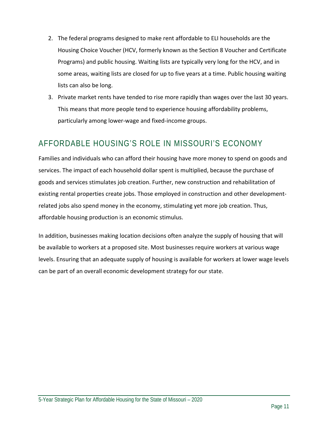- 2. The federal programs designed to make rent affordable to ELI households are the Housing Choice Voucher (HCV, formerly known as the Section 8 Voucher and Certificate Programs) and public housing. Waiting lists are typically very long for the HCV, and in some areas, waiting lists are closed for up to five years at a time. Public housing waiting lists can also be long.
- 3. Private market rents have tended to rise more rapidly than wages over the last 30 years. This means that more people tend to experience housing affordability problems, particularly among lower‐wage and fixed‐income groups.

### AFFORDABLE HOUSING'S ROLE IN MISSOURI'S ECONOMY

Families and individuals who can afford their housing have more money to spend on goods and services. The impact of each household dollar spent is multiplied, because the purchase of goods and services stimulates job creation. Further, new construction and rehabilitation of existing rental properties create jobs. Those employed in construction and other development‐ related jobs also spend money in the economy, stimulating yet more job creation. Thus, affordable housing production is an economic stimulus.

In addition, businesses making location decisions often analyze the supply of housing that will be available to workers at a proposed site. Most businesses require workers at various wage levels. Ensuring that an adequate supply of housing is available for workers at lower wage levels can be part of an overall economic development strategy for our state.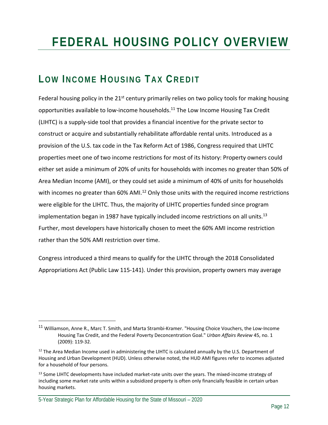## **FEDERAL HOUSING POLICY OVERVIEW**

## **LOW INCOME HOUSING TAX CREDIT**

Federal housing policy in the  $21^{st}$  century primarily relies on two policy tools for making housing opportunities available to low‐income households.11 The Low Income Housing Tax Credit (LIHTC) is a supply‐side tool that provides a financial incentive for the private sector to construct or acquire and substantially rehabilitate affordable rental units. Introduced as a provision of the U.S. tax code in the Tax Reform Act of 1986, Congress required that LIHTC properties meet one of two income restrictions for most of its history: Property owners could either set aside a minimum of 20% of units for households with incomes no greater than 50% of Area Median Income (AMI), or they could set aside a minimum of 40% of units for households with incomes no greater than 60% AMI.<sup>12</sup> Only those units with the required income restrictions were eligible for the LIHTC. Thus, the majority of LIHTC properties funded since program implementation began in 1987 have typically included income restrictions on all units.<sup>13</sup> Further, most developers have historically chosen to meet the 60% AMI income restriction rather than the 50% AMI restriction over time.

Congress introduced a third means to qualify for the LIHTC through the 2018 Consolidated Appropriations Act (Public Law 115‐141). Under this provision, property owners may average

<sup>11</sup> Williamson, Anne R., Marc T. Smith, and Marta Strambi-Kramer. "Housing Choice Vouchers, the Low-Income Housing Tax Credit, and the Federal Poverty Deconcentration Goal." *Urban Affairs Review* 45, no. 1 (2009): 119‐32.

 $12$  The Area Median Income used in administering the LIHTC is calculated annually by the U.S. Department of Housing and Urban Development (HUD). Unless otherwise noted, the HUD AMI figures refer to incomes adjusted for a household of four persons.

<sup>13</sup> Some LIHTC developments have included market-rate units over the years. The mixed-income strategy of including some market rate units within a subsidized property is often only financially feasible in certain urban housing markets.

<sup>5-</sup>Year Strategic Plan for Affordable Housing for the State of Missouri – 2020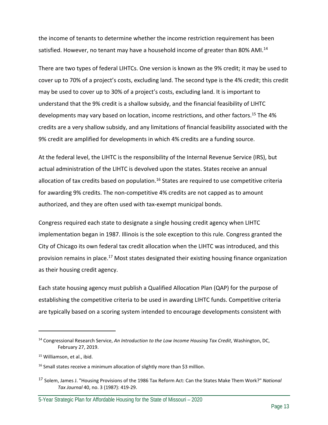the income of tenants to determine whether the income restriction requirement has been satisfied. However, no tenant may have a household income of greater than 80% AMI.<sup>14</sup>

There are two types of federal LIHTCs. One version is known as the 9% credit; it may be used to cover up to 70% of a project's costs, excluding land. The second type is the 4% credit; this credit may be used to cover up to 30% of a project's costs, excluding land. It is important to understand that the 9% credit is a shallow subsidy, and the financial feasibility of LIHTC developments may vary based on location, income restrictions, and other factors.<sup>15</sup> The 4% credits are a very shallow subsidy, and any limitations of financial feasibility associated with the 9% credit are amplified for developments in which 4% credits are a funding source.

At the federal level, the LIHTC is the responsibility of the Internal Revenue Service (IRS), but actual administration of the LIHTC is devolved upon the states. States receive an annual allocation of tax credits based on population.<sup>16</sup> States are required to use competitive criteria for awarding 9% credits. The non‐competitive 4% credits are not capped as to amount authorized, and they are often used with tax-exempt municipal bonds.

Congress required each state to designate a single housing credit agency when LIHTC implementation began in 1987. Illinois is the sole exception to this rule. Congress granted the City of Chicago its own federal tax credit allocation when the LIHTC was introduced, and this provision remains in place.<sup>17</sup> Most states designated their existing housing finance organization as their housing credit agency.

Each state housing agency must publish a Qualified Allocation Plan (QAP) for the purpose of establishing the competitive criteria to be used in awarding LIHTC funds. Competitive criteria are typically based on a scoring system intended to encourage developments consistent with

<sup>14</sup> Congressional Research Service, *An Introduction to the Low Income Housing Tax Credit*, Washington, DC, February 27, 2019.

<sup>15</sup> Williamson, et al., ibid.

 $16$  Small states receive a minimum allocation of slightly more than \$3 million.

<sup>17</sup> Solem, James J. "Housing Provisions of the 1986 Tax Reform Act: Can the States Make Them Work?" *National Tax Journal* 40, no. 3 (1987): 419‐29.

<sup>5-</sup>Year Strategic Plan for Affordable Housing for the State of Missouri – 2020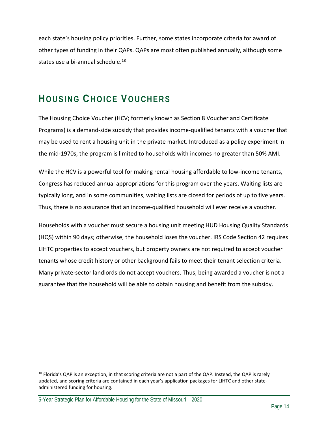each state's housing policy priorities. Further, some states incorporate criteria for award of other types of funding in their QAPs. QAPs are most often published annually, although some states use a bi-annual schedule.<sup>18</sup>

## **HOUSING CHOICE VOUCHERS**

The Housing Choice Voucher (HCV; formerly known as Section 8 Voucher and Certificate Programs) is a demand‐side subsidy that provides income‐qualified tenants with a voucher that may be used to rent a housing unit in the private market. Introduced as a policy experiment in the mid‐1970s, the program is limited to households with incomes no greater than 50% AMI.

While the HCV is a powerful tool for making rental housing affordable to low-income tenants, Congress has reduced annual appropriations for this program over the years. Waiting lists are typically long, and in some communities, waiting lists are closed for periods of up to five years. Thus, there is no assurance that an income‐qualified household will ever receive a voucher.

Households with a voucher must secure a housing unit meeting HUD Housing Quality Standards (HQS) within 90 days; otherwise, the household loses the voucher. IRS Code Section 42 requires LIHTC properties to accept vouchers, but property owners are not required to accept voucher tenants whose credit history or other background fails to meet their tenant selection criteria. Many private‐sector landlords do not accept vouchers. Thus, being awarded a voucher is not a guarantee that the household will be able to obtain housing and benefit from the subsidy.

 $18$  Florida's QAP is an exception, in that scoring criteria are not a part of the QAP. Instead, the QAP is rarely updated, and scoring criteria are contained in each year's application packages for LIHTC and other state‐ administered funding for housing.

<sup>5-</sup>Year Strategic Plan for Affordable Housing for the State of Missouri – 2020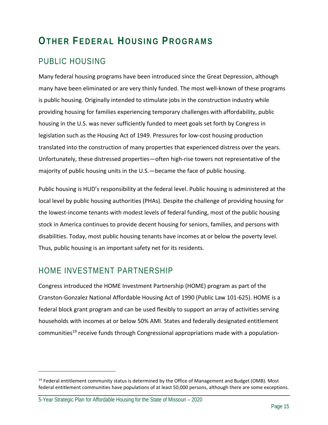## **OTHER FEDERAL HOUSING PROGRAMS**

### PUBLIC HOUSING

Many federal housing programs have been introduced since the Great Depression, although many have been eliminated or are very thinly funded. The most well-known of these programs is public housing. Originally intended to stimulate jobs in the construction industry while providing housing for families experiencing temporary challenges with affordability, public housing in the U.S. was never sufficiently funded to meet goals set forth by Congress in legislation such as the Housing Act of 1949. Pressures for low‐cost housing production translated into the construction of many properties that experienced distress over the years. Unfortunately, these distressed properties—often high‐rise towers not representative of the majority of public housing units in the U.S.—became the face of public housing.

Public housing is HUD's responsibility at the federal level. Public housing is administered at the local level by public housing authorities (PHAs). Despite the challenge of providing housing for the lowest-income tenants with modest levels of federal funding, most of the public housing stock in America continues to provide decent housing for seniors, families, and persons with disabilities. Today, most public housing tenants have incomes at or below the poverty level. Thus, public housing is an important safety net for its residents.

### HOME INVESTMENT PARTNERSHIP

Congress introduced the HOME Investment Partnership (HOME) program as part of the Cranston‐Gonzalez National Affordable Housing Act of 1990 (Public Law 101‐625). HOME is a federal block grant program and can be used flexibly to support an array of activities serving households with incomes at or below 50% AMI. States and federally designated entitlement communities<sup>19</sup> receive funds through Congressional appropriations made with a population-

<sup>&</sup>lt;sup>19</sup> Federal entitlement community status is determined by the Office of Management and Budget (OMB). Most federal entitlement communities have populations of at least 50,000 persons, although there are some exceptions.

<sup>5-</sup>Year Strategic Plan for Affordable Housing for the State of Missouri – 2020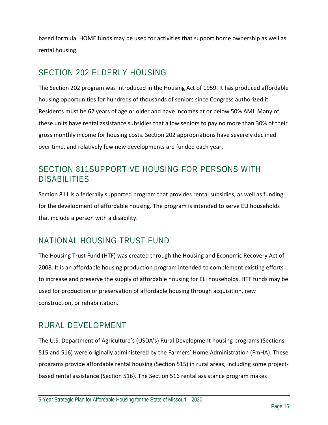based formula. HOME funds may be used for activities that support home ownership as well as rental housing.

### SECTION 202 ELDERLY HOUSING

The Section 202 program was introduced in the Housing Act of 1959. It has produced affordable housing opportunities for hundreds of thousands of seniors since Congress authorized it. Residents must be 62 years of age or older and have incomes at or below 50% AMI. Many of these units have rental assistance subsidies that allow seniors to pay no more than 30% of their gross monthly income for housing costs. Section 202 appropriations have severely declined over time, and relatively few new developments are funded each year.

### SECTION 811SUPPORTIVE HOUSING FOR PERSONS WITH DISABILITIES

Section 811 is a federally supported program that provides rental subsidies, as well as funding for the development of affordable housing. The program is intended to serve ELI households that include a person with a disability.

### NATIONAL HOUSING TRUST FUND

The Housing Trust Fund (HTF) was created through the Housing and Economic Recovery Act of 2008. It is an affordable housing production program intended to complement existing efforts to increase and preserve the supply of affordable housing for ELI households. HTF funds may be used for production or preservation of affordable housing through acquisition, new construction, or rehabilitation.

### RURAL DEVELOPMENT

The U.S. Department of Agriculture's (USDA's) Rural Development housing programs (Sections 515 and 516) were originally administered by the Farmers' Home Administration (FmHA). These programs provide affordable rental housing (Section 515) in rural areas, including some project‐ based rental assistance (Section 516). The Section 516 rental assistance program makes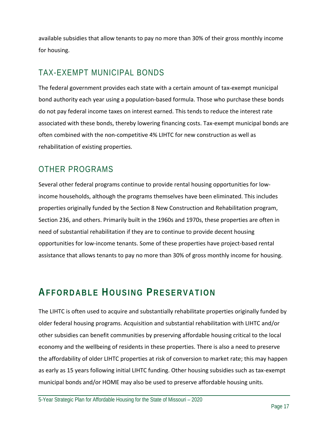available subsidies that allow tenants to pay no more than 30% of their gross monthly income for housing.

### TAX-EXEMPT MUNICIPAL BONDS

The federal government provides each state with a certain amount of tax‐exempt municipal bond authority each year using a population‐based formula. Those who purchase these bonds do not pay federal income taxes on interest earned. This tends to reduce the interest rate associated with these bonds, thereby lowering financing costs. Tax‐exempt municipal bonds are often combined with the non‐competitive 4% LIHTC for new construction as well as rehabilitation of existing properties.

### OTHER PROGRAMS

Several other federal programs continue to provide rental housing opportunities for low‐ income households, although the programs themselves have been eliminated. This includes properties originally funded by the Section 8 New Construction and Rehabilitation program, Section 236, and others. Primarily built in the 1960s and 1970s, these properties are often in need of substantial rehabilitation if they are to continue to provide decent housing opportunities for low‐income tenants. Some of these properties have project‐based rental assistance that allows tenants to pay no more than 30% of gross monthly income for housing.

## **AFFORDABLE HOUSING PRESERVATION**

The LIHTC is often used to acquire and substantially rehabilitate properties originally funded by older federal housing programs. Acquisition and substantial rehabilitation with LIHTC and/or other subsidies can benefit communities by preserving affordable housing critical to the local economy and the wellbeing of residents in these properties. There is also a need to preserve the affordability of older LIHTC properties at risk of conversion to market rate; this may happen as early as 15 years following initial LIHTC funding. Other housing subsidies such as tax‐exempt municipal bonds and/or HOME may also be used to preserve affordable housing units.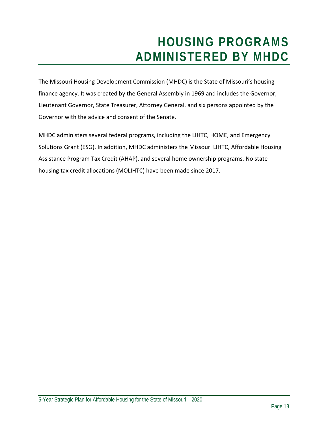## **HOUSING PROGRAMS ADMINISTERED BY MHDC**

The Missouri Housing Development Commission (MHDC) is the State of Missouri's housing finance agency. It was created by the General Assembly in 1969 and includes the Governor, Lieutenant Governor, State Treasurer, Attorney General, and six persons appointed by the Governor with the advice and consent of the Senate.

MHDC administers several federal programs, including the LIHTC, HOME, and Emergency Solutions Grant (ESG). In addition, MHDC administers the Missouri LIHTC, Affordable Housing Assistance Program Tax Credit (AHAP), and several home ownership programs. No state housing tax credit allocations (MOLIHTC) have been made since 2017.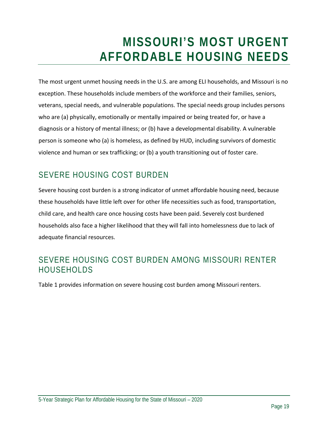## **MISSOURI'S MOST URGENT AFFORDABLE HOUSING NEEDS**

The most urgent unmet housing needs in the U.S. are among ELI households, and Missouri is no exception. These households include members of the workforce and their families, seniors, veterans, special needs, and vulnerable populations. The special needs group includes persons who are (a) physically, emotionally or mentally impaired or being treated for, or have a diagnosis or a history of mental illness; or (b) have a developmental disability. A vulnerable person is someone who (a) is homeless, as defined by HUD, including survivors of domestic violence and human or sex trafficking; or (b) a youth transitioning out of foster care.

### SEVERE HOUSING COST BURDEN

Severe housing cost burden is a strong indicator of unmet affordable housing need, because these households have little left over for other life necessities such as food, transportation, child care, and health care once housing costs have been paid. Severely cost burdened households also face a higher likelihood that they will fall into homelessness due to lack of adequate financial resources.

#### SEVERE HOUSING COST BURDEN AMONG MISSOURI RENTER HOUSEHOLDS

Table 1 provides information on severe housing cost burden among Missouri renters.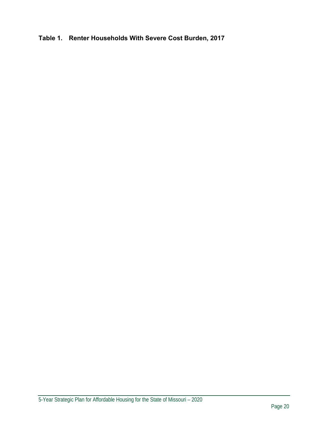**Table 1. Renter Households With Severe Cost Burden, 2017**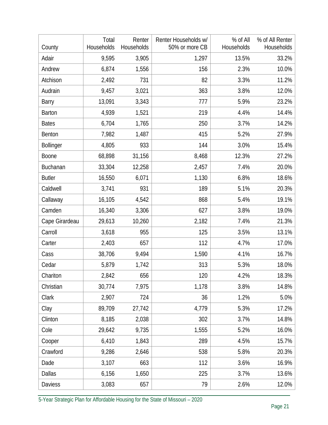| County           | Total<br>Households | Renter<br>Households | Renter Households w/<br>50% or more CB | % of All<br>Households | % of All Renter<br>Households |
|------------------|---------------------|----------------------|----------------------------------------|------------------------|-------------------------------|
| Adair            | 9,595               | 3,905                | 1,297                                  | 13.5%                  | 33.2%                         |
| Andrew           | 6,874               | 1,556                | 156                                    | 2.3%                   | 10.0%                         |
| Atchison         | 2,492               | 731                  | 82                                     | 3.3%                   | 11.2%                         |
| Audrain          | 9,457               | 3,021                | 363                                    | 3.8%                   | 12.0%                         |
| Barry            | 13,091              | 3,343                | 777                                    | 5.9%                   | 23.2%                         |
| <b>Barton</b>    | 4,939               | 1,521                | 219                                    | 4.4%                   | 14.4%                         |
| <b>Bates</b>     | 6,704               | 1,765                | 250                                    | 3.7%                   | 14.2%                         |
| Benton           | 7,982               | 1,487                | 415                                    | 5.2%                   | 27.9%                         |
| <b>Bollinger</b> | 4,805               | 933                  | 144                                    | 3.0%                   | 15.4%                         |
| Boone            | 68,898              | 31,156               | 8,468                                  | 12.3%                  | 27.2%                         |
| Buchanan         | 33,304              | 12,258               | 2,457                                  | 7.4%                   | 20.0%                         |
| <b>Butler</b>    | 16,550              | 6,071                | 1,130                                  | 6.8%                   | 18.6%                         |
| Caldwell         | 3,741               | 931                  | 189                                    | 5.1%                   | 20.3%                         |
| Callaway         | 16,105              | 4,542                | 868                                    | 5.4%                   | 19.1%                         |
| Camden           | 16,340              | 3,306                | 627                                    | 3.8%                   | 19.0%                         |
| Cape Girardeau   | 29,613              | 10,260               | 2,182                                  | 7.4%                   | 21.3%                         |
| Carroll          | 3,618               | 955                  | 125                                    | 3.5%                   | 13.1%                         |
| Carter           | 2,403               | 657                  | 112                                    | 4.7%                   | 17.0%                         |
| Cass             | 38,706              | 9,494                | 1,590                                  | 4.1%                   | 16.7%                         |
| Cedar            | 5,879               | 1,742                | 313                                    | 5.3%                   | 18.0%                         |
| Chariton         | 2,842               | 656                  | 120                                    | 4.2%                   | 18.3%                         |
| Christian        | 30,774              | 7,975                | 1,178                                  | 3.8%                   | 14.8%                         |
| Clark            | 2,907               | 724                  | 36                                     | 1.2%                   | 5.0%                          |
| Clay             | 89,709              | 27,742               | 4,779                                  | 5.3%                   | 17.2%                         |
| Clinton          | 8,185               | 2,038                | 302                                    | 3.7%                   | 14.8%                         |
| Cole             | 29,642              | 9,735                | 1,555                                  | 5.2%                   | 16.0%                         |
| Cooper           | 6,410               | 1,843                | 289                                    | 4.5%                   | 15.7%                         |
| Crawford         | 9,286               | 2,646                | 538                                    | 5.8%                   | 20.3%                         |
| Dade             | 3,107               | 663                  | 112                                    | 3.6%                   | 16.9%                         |
| <b>Dallas</b>    | 6,156               | 1,650                | 225                                    | 3.7%                   | 13.6%                         |
| <b>Daviess</b>   | 3,083               | 657                  | 79                                     | 2.6%                   | 12.0%                         |

5-Year Strategic Plan for Affordable Housing for the State of Missouri – 2020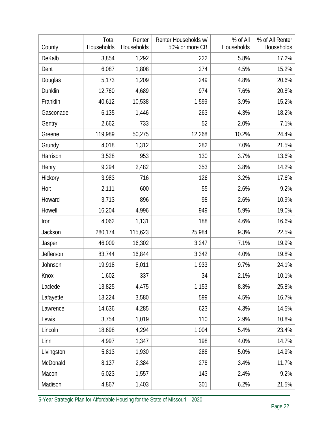| County     | Total<br>Households | Renter<br>Households | Renter Households w/<br>50% or more CB | % of All<br>Households | % of All Renter<br>Households |
|------------|---------------------|----------------------|----------------------------------------|------------------------|-------------------------------|
| DeKalb     | 3,854               | 1,292                | 222                                    | 5.8%                   | 17.2%                         |
| Dent       | 6,087               | 1,808                | 274                                    | 4.5%                   | 15.2%                         |
| Douglas    | 5,173               | 1,209                | 249                                    | 4.8%                   | 20.6%                         |
| Dunklin    | 12,760              | 4,689                | 974                                    | 7.6%                   | 20.8%                         |
| Franklin   | 40,612              | 10,538               | 1,599                                  | 3.9%                   | 15.2%                         |
| Gasconade  | 6,135               | 1,446                | 263                                    | 4.3%                   | 18.2%                         |
| Gentry     | 2,662               | 733                  | 52                                     | 2.0%                   | 7.1%                          |
| Greene     | 119,989             | 50,275               | 12,268                                 | 10.2%                  | 24.4%                         |
| Grundy     | 4,018               | 1,312                | 282                                    | 7.0%                   | 21.5%                         |
| Harrison   | 3,528               | 953                  | 130                                    | 3.7%                   | 13.6%                         |
| Henry      | 9,294               | 2,482                | 353                                    | 3.8%                   | 14.2%                         |
| Hickory    | 3,983               | 716                  | 126                                    | 3.2%                   | 17.6%                         |
| Holt       | 2,111               | 600                  | 55                                     | 2.6%                   | 9.2%                          |
| Howard     | 3,713               | 896                  | 98                                     | 2.6%                   | 10.9%                         |
| Howell     | 16,204              | 4,996                | 949                                    | 5.9%                   | 19.0%                         |
| Iron       | 4,062               | 1,131                | 188                                    | 4.6%                   | 16.6%                         |
| Jackson    | 280,174             | 115,623              | 25,984                                 | 9.3%                   | 22.5%                         |
| Jasper     | 46,009              | 16,302               | 3,247                                  | 7.1%                   | 19.9%                         |
| Jefferson  | 83,744              | 16,844               | 3,342                                  | 4.0%                   | 19.8%                         |
| Johnson    | 19,918              | 8,011                | 1,933                                  | 9.7%                   | 24.1%                         |
| Knox       | 1,602               | 337                  | 34                                     | 2.1%                   | 10.1%                         |
| Laclede    | 13,825              | 4,475                | 1,153                                  | 8.3%                   | 25.8%                         |
| Lafayette  | 13,224              | 3,580                | 599                                    | 4.5%                   | 16.7%                         |
| Lawrence   | 14,636              | 4,285                | 623                                    | 4.3%                   | 14.5%                         |
| Lewis      | 3,754               | 1,019                | 110                                    | 2.9%                   | 10.8%                         |
| Lincoln    | 18,698              | 4,294                | 1,004                                  | 5.4%                   | 23.4%                         |
| Linn       | 4,997               | 1,347                | 198                                    | 4.0%                   | 14.7%                         |
| Livingston | 5,813               | 1,930                | 288                                    | 5.0%                   | 14.9%                         |
| McDonald   | 8,137               | 2,384                | 278                                    | 3.4%                   | 11.7%                         |
| Macon      | 6,023               | 1,557                | 143                                    | 2.4%                   | 9.2%                          |
| Madison    | 4,867               | 1,403                | 301                                    | 6.2%                   | 21.5%                         |

5-Year Strategic Plan for Affordable Housing for the State of Missouri – 2020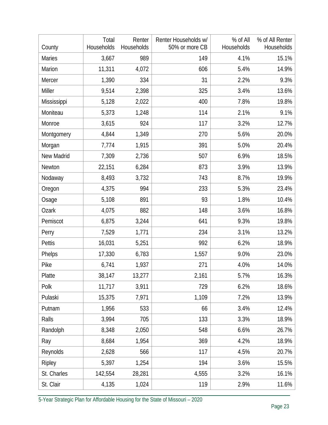| County        | Total<br>Households | Renter<br>Households | Renter Households w/<br>50% or more CB | % of All<br>Households | % of All Renter<br>Households |
|---------------|---------------------|----------------------|----------------------------------------|------------------------|-------------------------------|
| <b>Maries</b> | 3,667               | 989                  | 149                                    | 4.1%                   | 15.1%                         |
| Marion        | 11,311              | 4,072                | 606                                    | 5.4%                   | 14.9%                         |
| Mercer        | 1,390               | 334                  | 31                                     | 2.2%                   | 9.3%                          |
| Miller        | 9,514               | 2,398                | 325                                    | 3.4%                   | 13.6%                         |
| Mississippi   | 5,128               | 2,022                | 400                                    | 7.8%                   | 19.8%                         |
| Moniteau      | 5,373               | 1,248                | 114                                    | 2.1%                   | 9.1%                          |
| Monroe        | 3,615               | 924                  | 117                                    | 3.2%                   | 12.7%                         |
| Montgomery    | 4,844               | 1,349                | 270                                    | 5.6%                   | 20.0%                         |
| Morgan        | 7,774               | 1,915                | 391                                    | 5.0%                   | 20.4%                         |
| New Madrid    | 7,309               | 2,736                | 507                                    | 6.9%                   | 18.5%                         |
| Newton        | 22,151              | 6,284                | 873                                    | 3.9%                   | 13.9%                         |
| Nodaway       | 8,493               | 3,732                | 743                                    | 8.7%                   | 19.9%                         |
| Oregon        | 4,375               | 994                  | 233                                    | 5.3%                   | 23.4%                         |
| Osage         | 5,108               | 891                  | 93                                     | 1.8%                   | 10.4%                         |
| <b>Ozark</b>  | 4,075               | 882                  | 148                                    | 3.6%                   | 16.8%                         |
| Pemiscot      | 6,875               | 3,244                | 641                                    | 9.3%                   | 19.8%                         |
| Perry         | 7,529               | 1,771                | 234                                    | 3.1%                   | 13.2%                         |
| Pettis        | 16,031              | 5,251                | 992                                    | 6.2%                   | 18.9%                         |
| Phelps        | 17,330              | 6,783                | 1,557                                  | 9.0%                   | 23.0%                         |
| Pike          | 6,741               | 1,937                | 271                                    | 4.0%                   | 14.0%                         |
| Platte        | 38,147              | 13,277               | 2,161                                  | 5.7%                   | 16.3%                         |
| Polk          | 11,717              | 3,911                | 729                                    | 6.2%                   | 18.6%                         |
| Pulaski       | 15,375              | 7,971                | 1,109                                  | 7.2%                   | 13.9%                         |
| Putnam        | 1,956               | 533                  | 66                                     | 3.4%                   | 12.4%                         |
| Ralls         | 3,994               | 705                  | 133                                    | 3.3%                   | 18.9%                         |
| Randolph      | 8,348               | 2,050                | 548                                    | 6.6%                   | 26.7%                         |
| Ray           | 8,684               | 1,954                | 369                                    | 4.2%                   | 18.9%                         |
| Reynolds      | 2,628               | 566                  | 117                                    | 4.5%                   | 20.7%                         |
| Ripley        | 5,397               | 1,254                | 194                                    | 3.6%                   | 15.5%                         |
| St. Charles   | 142,554             | 28,281               | 4,555                                  | 3.2%                   | 16.1%                         |
| St. Clair     | 4,135               | 1,024                | 119                                    | 2.9%                   | 11.6%                         |

5-Year Strategic Plan for Affordable Housing for the State of Missouri – 2020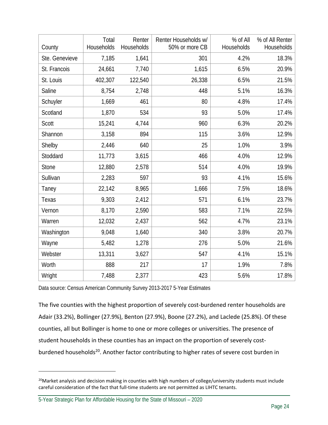| County         | Total<br>Households | Renter<br>Households | Renter Households w/<br>50% or more CB | % of All<br>Households | % of All Renter<br>Households |
|----------------|---------------------|----------------------|----------------------------------------|------------------------|-------------------------------|
| Ste. Genevieve | 7,185               | 1,641                | 301                                    | 4.2%                   | 18.3%                         |
| St. Francois   | 24,661              | 7,740                | 1,615                                  | 6.5%                   | 20.9%                         |
| St. Louis      | 402,307             | 122,540              | 26,338                                 | 6.5%                   | 21.5%                         |
| Saline         | 8,754               | 2,748                | 448                                    | 5.1%                   | 16.3%                         |
| Schuyler       | 1,669               | 461                  | 80                                     | 4.8%                   | 17.4%                         |
| Scotland       | 1,870               | 534                  | 93                                     | 5.0%                   | 17.4%                         |
| <b>Scott</b>   | 15,241              | 4,744                | 960                                    | 6.3%                   | 20.2%                         |
| Shannon        | 3,158               | 894                  | 115                                    | 3.6%                   | 12.9%                         |
| Shelby         | 2,446               | 640                  | 25                                     | 1.0%                   | 3.9%                          |
| Stoddard       | 11,773              | 3,615                | 466                                    | 4.0%                   | 12.9%                         |
| <b>Stone</b>   | 12,880              | 2,578                | 514                                    | 4.0%                   | 19.9%                         |
| Sullivan       | 2,283               | 597                  | 93                                     | 4.1%                   | 15.6%                         |
| Taney          | 22,142              | 8,965                | 1,666                                  | 7.5%                   | 18.6%                         |
| Texas          | 9,303               | 2,412                | 571                                    | 6.1%                   | 23.7%                         |
| Vernon         | 8,170               | 2,590                | 583                                    | 7.1%                   | 22.5%                         |
| Warren         | 12,032              | 2,437                | 562                                    | 4.7%                   | 23.1%                         |
| Washington     | 9,048               | 1,640                | 340                                    | 3.8%                   | 20.7%                         |
| Wayne          | 5,482               | 1,278                | 276                                    | 5.0%                   | 21.6%                         |
| Webster        | 13,311              | 3,627                | 547                                    | 4.1%                   | 15.1%                         |
| Worth          | 888                 | 217                  | 17                                     | 1.9%                   | 7.8%                          |
| Wright         | 7,488               | 2,377                | 423                                    | 5.6%                   | 17.8%                         |

Data source: Census American Community Survey 2013-2017 5-Year Estimates

The five counties with the highest proportion of severely cost-burdened renter households are Adair (33.2%), Bollinger (27.9%), Benton (27.9%), Boone (27.2%), and Laclede (25.8%). Of these counties, all but Bollinger is home to one or more colleges or universities. The presence of student households in these counties has an impact on the proportion of severely cost‐ burdened households<sup>20</sup>. Another factor contributing to higher rates of severe cost burden in

<sup>&</sup>lt;sup>20</sup>Market analysis and decision making in counties with high numbers of college/university students must include careful consideration of the fact that full-time students are not permitted as LIHTC tenants.

<sup>5-</sup>Year Strategic Plan for Affordable Housing for the State of Missouri – 2020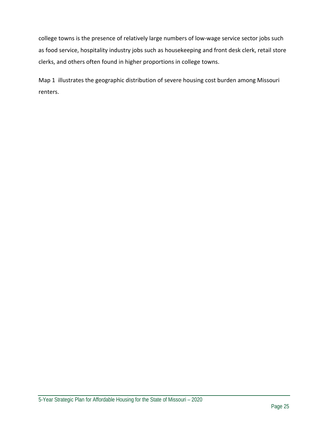college towns is the presence of relatively large numbers of low-wage service sector jobs such as food service, hospitality industry jobs such as housekeeping and front desk clerk, retail store clerks, and others often found in higher proportions in college towns.

Map 1 illustrates the geographic distribution of severe housing cost burden among Missouri renters.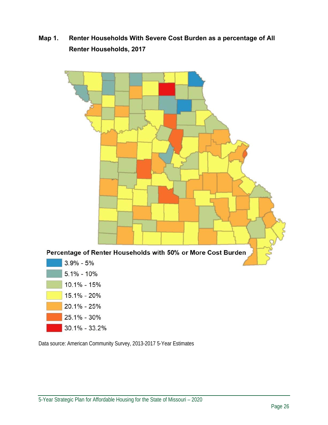#### **Map 1. Renter Households With Severe Cost Burden as a percentage of All Renter Households, 2017**



Data source: American Community Survey, 2013-2017 5-Year Estimates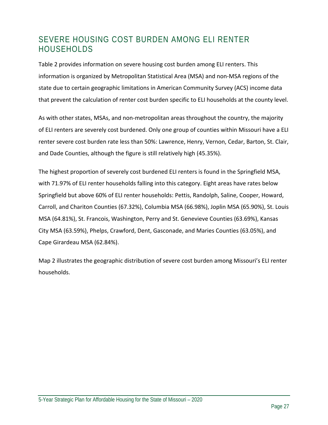### SEVERE HOUSING COST BURDEN AMONG ELI RENTER HOUSEHOLDS

Table 2 provides information on severe housing cost burden among ELI renters. This information is organized by Metropolitan Statistical Area (MSA) and non‐MSA regions of the state due to certain geographic limitations in American Community Survey (ACS) income data that prevent the calculation of renter cost burden specific to ELI households at the county level.

As with other states, MSAs, and non‐metropolitan areas throughout the country, the majority of ELI renters are severely cost burdened. Only one group of counties within Missouri have a ELI renter severe cost burden rate less than 50%: Lawrence, Henry, Vernon, Cedar, Barton, St. Clair, and Dade Counties, although the figure is still relatively high (45.35%).

The highest proportion of severely cost burdened ELI renters is found in the Springfield MSA, with 71.97% of ELI renter households falling into this category. Eight areas have rates below Springfield but above 60% of ELI renter households: Pettis, Randolph, Saline, Cooper, Howard, Carroll, and Chariton Counties (67.32%), Columbia MSA (66.98%), Joplin MSA (65.90%), St. Louis MSA (64.81%), St. Francois, Washington, Perry and St. Genevieve Counties (63.69%), Kansas City MSA (63.59%), Phelps, Crawford, Dent, Gasconade, and Maries Counties (63.05%), and Cape Girardeau MSA (62.84%).

Map 2 illustrates the geographic distribution of severe cost burden among Missouri's ELI renter households.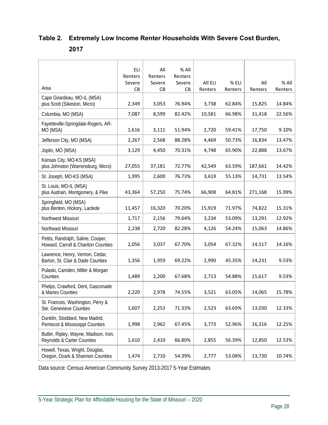#### **Table 2. Extremely Low Income Renter Households With Severe Cost Burden, 2017**

|                                                                          | ELI<br>Renters<br>Severe | All<br>Renters<br>Severe | % All<br>Renters<br>Severe | All ELI | % ELI   | All     | $%$ All |
|--------------------------------------------------------------------------|--------------------------|--------------------------|----------------------------|---------|---------|---------|---------|
| Area                                                                     | <b>CB</b>                | CB                       | CB                         | Renters | Renters | Renters | Renters |
| Cape Girardeau, MO-IL (MSA)<br>plus Scott (Sikeston, Micro)              | 2,349                    | 3,053                    | 76.94%                     | 3,738   | 62.84%  | 15,825  | 14.84%  |
| Columbia, MO (MSA)                                                       | 7,087                    | 8,599                    | 82.42%                     | 10,581  | 66.98%  | 31,418  | 22.56%  |
| Fayetteville-Springdale-Rogers, AR-<br>MO (MSA)                          | 1,616                    | 3,111                    | 51.94%                     | 2,720   | 59.41%  | 17,750  | 9.10%   |
| Jefferson City, MO (MSA)                                                 | 2,267                    | 2,568                    | 88.28%                     | 4,469   | 50.73%  | 16,834  | 13.47%  |
| Joplin, MO (MSA)                                                         | 3,129                    | 4,450                    | 70.31%                     | 4,748   | 65.90%  | 22,888  | 13.67%  |
| Kansas City, MO-KS (MSA)<br>plus Johnston (Warrensburg, Micro)           | 27,055                   | 37,181                   | 72.77%                     | 42,549  | 63.59%  | 187,661 | 14.42%  |
| St. Joseph, MO-KS (MSA)                                                  | 1,995                    | 2,600                    | 76.73%                     | 3,619   | 55.13%  | 14,731  | 13.54%  |
| St. Louis, MO-IL (MSA)<br>plus Audrain, Montgomery, & Pike               | 43,364                   | 57,250                   | 75.74%                     | 66,908  | 64.81%  | 271,168 | 15.99%  |
| Springfield, MO (MSA)<br>plus Benton, Hickory, Laclede                   | 11,457                   | 16,320                   | 70.20%                     | 15,919  | 71.97%  | 74,822  | 15.31%  |
| Northwest Missouri                                                       | 1,717                    | 2,156                    | 79.64%                     | 3,234   | 53.09%  | 13,291  | 12.92%  |
| Northeast Missouri                                                       | 2,238                    | 2,720                    | 82.28%                     | 4,126   | 54.24%  | 15,063  | 14.86%  |
| Pettis, Randolph, Saline, Cooper,<br>Howard, Carroll & Chariton Counties | 2,056                    | 3,037                    | 67.70%                     | 3,054   | 67.32%  | 14,517  | 14.16%  |
| Lawrence, Henry, Vernon, Cedar,<br>Barton, St. Clair & Dade Counties     | 1,356                    | 1,959                    | 69.22%                     | 2,990   | 45.35%  | 14,231  | 9.53%   |
| Pulaski, Camden, Miller & Morgan<br>Counties                             | 1,489                    | 2,200                    | 67.68%                     | 2,713   | 54.88%  | 15,617  | 9.53%   |
| Phelps, Crawford, Dent, Gasconade<br>& Maries Counties                   | 2,220                    | 2,978                    | 74.55%                     | 3,521   | 63.05%  | 14,065  | 15.78%  |
| St. Francois, Washington, Perry &<br>Ste. Genevieve Counties             | 1,607                    | 2,253                    | 71.33%                     | 2,523   | 63.69%  | 13,030  | 12.33%  |
| Dunklin, Stoddard, New Madrid,<br>Pemiscot & Mississippi Counties        | 1,998                    | 2,962                    | 67.45%                     | 3,773   | 52.96%  | 16,316  | 12.25%  |
| Butler, Ripley, Wayne, Madison, Iron,<br>Reynolds & Carter Counties      | 1,610                    | 2,410                    | 66.80%                     | 2,855   | 56.39%  | 12,850  | 12.53%  |
| Howell, Texas, Wright, Douglas,<br>Oregon, Ozark & Shannon Counties      | 1,474                    | 2,710                    | 54.39%                     | 2,777   | 53.08%  | 13,730  | 10.74%  |

Data source: Census American Community Survey 2013-2017 5-Year Estimates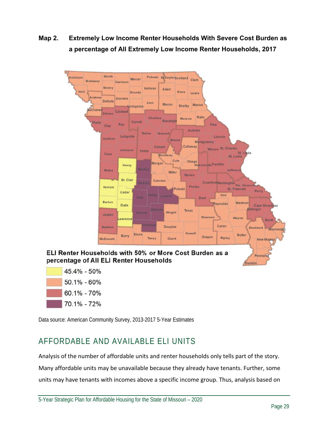**Map 2. Extremely Low Income Renter Households With Severe Cost Burden as a percentage of All Extremely Low Income Renter Households, 2017** 



| 45.4% - 50% |  |
|-------------|--|
| 50.1% - 60% |  |
| 60.1% - 70% |  |
| 70.1% - 72% |  |

Data source: American Community Survey, 2013-2017 5-Year Estimates

### AFFORDABLE AND AVAILABLE ELI UNITS

Analysis of the number of affordable units and renter households only tells part of the story. Many affordable units may be unavailable because they already have tenants. Further, some units may have tenants with incomes above a specific income group. Thus, analysis based on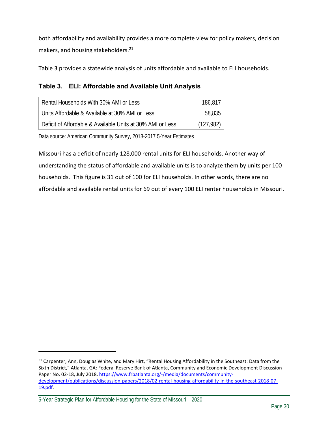both affordability and availability provides a more complete view for policy makers, decision makers, and housing stakeholders.<sup>21</sup>

Table 3 provides a statewide analysis of units affordable and available to ELI households.

#### **Table 3. ELI: Affordable and Available Unit Analysis**

| Rental Households With 30% AMI or Less                     | 186,817    |
|------------------------------------------------------------|------------|
| Units Affordable & Available at 30% AMI or Less            | 58,835     |
| Deficit of Affordable & Available Units at 30% AMI or Less | (127, 982) |

Data source: American Community Survey, 2013-2017 5-Year Estimates

Missouri has a deficit of nearly 128,000 rental units for ELI households. Another way of understanding the status of affordable and available units is to analyze them by units per 100 households. This figure is 31 out of 100 for ELI households. In other words, there are no affordable and available rental units for 69 out of every 100 ELI renter households in Missouri.

<sup>&</sup>lt;sup>21</sup> Carpenter, Ann, Douglas White, and Mary Hirt, "Rental Housing Affordability in the Southeast: Data from the Sixth District," Atlanta, GA: Federal Reserve Bank of Atlanta, Community and Economic Development Discussion Paper No. 02-18, July 2018. https://www.frbatlanta.org/-/media/documents/communitydevelopment/publications/discussion‐papers/2018/02‐rental‐housing‐affordability‐in‐the‐southeast‐2018‐07‐ 19.pdf.

<sup>5-</sup>Year Strategic Plan for Affordable Housing for the State of Missouri – 2020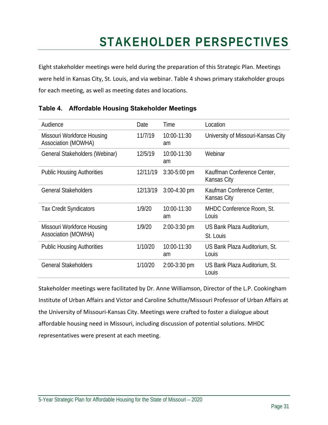## **STAKEHOLDER PERSPECTIVES**

Eight stakeholder meetings were held during the preparation of this Strategic Plan. Meetings were held in Kansas City, St. Louis, and via webinar. Table 4 shows primary stakeholder groups for each meeting, as well as meeting dates and locations.

| Audience                                          | Date     | Time              | Location                                   |
|---------------------------------------------------|----------|-------------------|--------------------------------------------|
| Missouri Workforce Housing<br>Association (MOWHA) | 11/7/19  | 10:00-11:30<br>am | University of Missouri-Kansas City         |
| General Stakeholders (Webinar)                    | 12/5/19  | 10:00-11:30<br>am | Webinar                                    |
| <b>Public Housing Authorities</b>                 | 12/11/19 | $3:30 - 5:00$ pm  | Kauffman Conference Center,<br>Kansas City |
| <b>General Stakeholders</b>                       | 12/13/19 | $3:00-4:30$ pm    | Kaufman Conference Center,<br>Kansas City  |
| <b>Tax Credit Syndicators</b>                     | 1/9/20   | 10:00-11:30<br>am | MHDC Conference Room, St.<br>Louis         |
| Missouri Workforce Housing<br>Association (MOWHA) | 1/9/20   | $2:00-3:30$ pm    | US Bank Plaza Auditorium,<br>St. Louis     |
| <b>Public Housing Authorities</b>                 | 1/10/20  | 10:00-11:30<br>am | US Bank Plaza Auditorium, St.<br>Louis     |
| <b>General Stakeholders</b>                       | 1/10/20  | $2:00-3:30$ pm    | US Bank Plaza Auditorium, St.<br>Louis     |

#### **Table 4. Affordable Housing Stakeholder Meetings**

Stakeholder meetings were facilitated by Dr. Anne Williamson, Director of the L.P. Cookingham Institute of Urban Affairs and Victor and Caroline Schutte/Missouri Professor of Urban Affairs at the University of Missouri‐Kansas City. Meetings were crafted to foster a dialogue about affordable housing need in Missouri, including discussion of potential solutions. MHDC representatives were present at each meeting.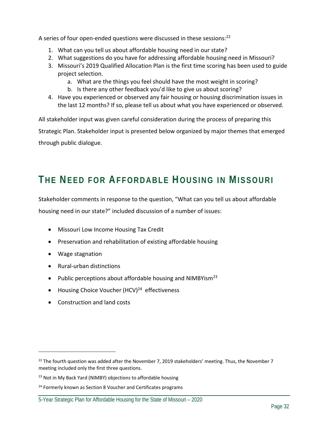A series of four open-ended questions were discussed in these sessions:<sup>22</sup>

- 1. What can you tell us about affordable housing need in our state?
- 2. What suggestions do you have for addressing affordable housing need in Missouri?
- 3. Missouri's 2019 Qualified Allocation Plan is the first time scoring has been used to guide project selection.
	- a. What are the things you feel should have the most weight in scoring?
	- b. Is there any other feedback you'd like to give us about scoring?
- 4. Have you experienced or observed any fair housing or housing discrimination issues in the last 12 months? If so, please tell us about what you have experienced or observed.

All stakeholder input was given careful consideration during the process of preparing this Strategic Plan. Stakeholder input is presented below organized by major themes that emerged through public dialogue.

## **THE NEED FOR AFFORDABLE HOUSING IN MISSOURI**

Stakeholder comments in response to the question, "What can you tell us about affordable housing need in our state?" included discussion of a number of issues:

- Missouri Low Income Housing Tax Credit
- Preservation and rehabilitation of existing affordable housing
- Wage stagnation

- Rural-urban distinctions
- Public perceptions about affordable housing and NIMBYism<sup>23</sup>
- $\bullet$  Housing Choice Voucher (HCV)<sup>24</sup> effectiveness
- Construction and land costs

 $^{22}$  The fourth question was added after the November 7, 2019 stakeholders' meeting. Thus, the November 7 meeting included only the first three questions.

<sup>&</sup>lt;sup>23</sup> Not in My Back Yard (NIMBY) objections to affordable housing

 $24$  Formerly known as Section 8 Voucher and Certificates programs

<sup>5-</sup>Year Strategic Plan for Affordable Housing for the State of Missouri – 2020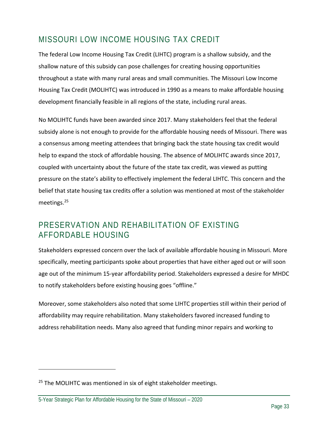### MISSOURI LOW INCOME HOUSING TAX CREDIT

The federal Low Income Housing Tax Credit (LIHTC) program is a shallow subsidy, and the shallow nature of this subsidy can pose challenges for creating housing opportunities throughout a state with many rural areas and small communities. The Missouri Low Income Housing Tax Credit (MOLIHTC) was introduced in 1990 as a means to make affordable housing development financially feasible in all regions of the state, including rural areas.

No MOLIHTC funds have been awarded since 2017. Many stakeholders feel that the federal subsidy alone is not enough to provide for the affordable housing needs of Missouri. There was a consensus among meeting attendees that bringing back the state housing tax credit would help to expand the stock of affordable housing. The absence of MOLIHTC awards since 2017, coupled with uncertainty about the future of the state tax credit, was viewed as putting pressure on the state's ability to effectively implement the federal LIHTC. This concern and the belief that state housing tax credits offer a solution was mentioned at most of the stakeholder meetings.25

#### PRESERVATION AND REHABILITATION OF EXISTING AFFORDABLE HOUSING

Stakeholders expressed concern over the lack of available affordable housing in Missouri. More specifically, meeting participants spoke about properties that have either aged out or will soon age out of the minimum 15‐year affordability period. Stakeholders expressed a desire for MHDC to notify stakeholders before existing housing goes "offline."

Moreover, some stakeholders also noted that some LIHTC properties still within their period of affordability may require rehabilitation. Many stakeholders favored increased funding to address rehabilitation needs. Many also agreed that funding minor repairs and working to

<sup>&</sup>lt;sup>25</sup> The MOLIHTC was mentioned in six of eight stakeholder meetings.

<sup>5-</sup>Year Strategic Plan for Affordable Housing for the State of Missouri – 2020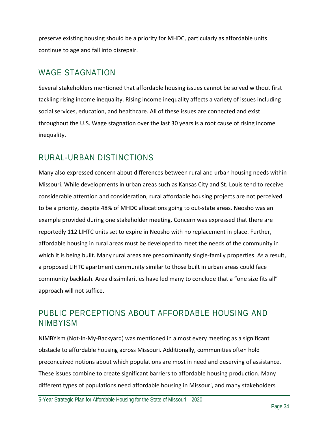preserve existing housing should be a priority for MHDC, particularly as affordable units continue to age and fall into disrepair.

#### WAGE STAGNATION

Several stakeholders mentioned that affordable housing issues cannot be solved without first tackling rising income inequality. Rising income inequality affects a variety of issues including social services, education, and healthcare. All of these issues are connected and exist throughout the U.S. Wage stagnation over the last 30 years is a root cause of rising income inequality.

### RURAL-URBAN DISTINCTIONS

Many also expressed concern about differences between rural and urban housing needs within Missouri. While developments in urban areas such as Kansas City and St. Louis tend to receive considerable attention and consideration, rural affordable housing projects are not perceived to be a priority, despite 48% of MHDC allocations going to out‐state areas. Neosho was an example provided during one stakeholder meeting. Concern was expressed that there are reportedly 112 LIHTC units set to expire in Neosho with no replacement in place. Further, affordable housing in rural areas must be developed to meet the needs of the community in which it is being built. Many rural areas are predominantly single-family properties. As a result, a proposed LIHTC apartment community similar to those built in urban areas could face community backlash. Area dissimilarities have led many to conclude that a "one size fits all" approach will not suffice.

#### PUBLIC PERCEPTIONS ABOUT AFFORDABLE HOUSING AND NIMBYISM

NIMBYism (Not‐In‐My‐Backyard) was mentioned in almost every meeting as a significant obstacle to affordable housing across Missouri. Additionally, communities often hold preconceived notions about which populations are most in need and deserving of assistance. These issues combine to create significant barriers to affordable housing production. Many different types of populations need affordable housing in Missouri, and many stakeholders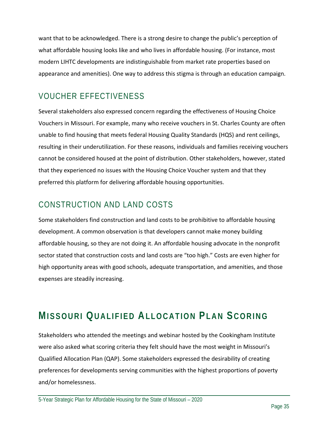want that to be acknowledged. There is a strong desire to change the public's perception of what affordable housing looks like and who lives in affordable housing. (For instance, most modern LIHTC developments are indistinguishable from market rate properties based on appearance and amenities). One way to address this stigma is through an education campaign.

### VOUCHER EFFECTIVENESS

Several stakeholders also expressed concern regarding the effectiveness of Housing Choice Vouchers in Missouri. For example, many who receive vouchers in St. Charles County are often unable to find housing that meets federal Housing Quality Standards (HQS) and rent ceilings, resulting in their underutilization. For these reasons, individuals and families receiving vouchers cannot be considered housed at the point of distribution. Other stakeholders, however, stated that they experienced no issues with the Housing Choice Voucher system and that they preferred this platform for delivering affordable housing opportunities.

### CONSTRUCTION AND LAND COSTS

Some stakeholders find construction and land costs to be prohibitive to affordable housing development. A common observation is that developers cannot make money building affordable housing, so they are not doing it. An affordable housing advocate in the nonprofit sector stated that construction costs and land costs are "too high." Costs are even higher for high opportunity areas with good schools, adequate transportation, and amenities, and those expenses are steadily increasing.

## **MISSOURI QUALIFIED ALLOCATION PLAN SCORING**

Stakeholders who attended the meetings and webinar hosted by the Cookingham Institute were also asked what scoring criteria they felt should have the most weight in Missouri's Qualified Allocation Plan (QAP). Some stakeholders expressed the desirability of creating preferences for developments serving communities with the highest proportions of poverty and/or homelessness.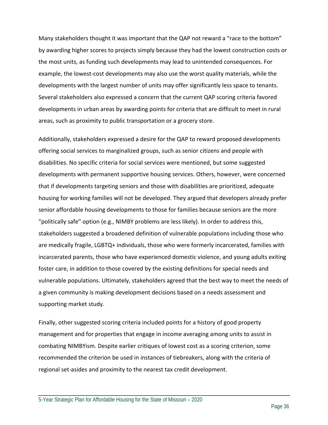Many stakeholders thought it was important that the QAP not reward a "race to the bottom" by awarding higher scores to projects simply because they had the lowest construction costs or the most units, as funding such developments may lead to unintended consequences. For example, the lowest‐cost developments may also use the worst quality materials, while the developments with the largest number of units may offer significantly less space to tenants. Several stakeholders also expressed a concern that the current QAP scoring criteria favored developments in urban areas by awarding points for criteria that are difficult to meet in rural areas, such as proximity to public transportation or a grocery store.

Additionally, stakeholders expressed a desire for the QAP to reward proposed developments offering social services to marginalized groups, such as senior citizens and people with disabilities. No specific criteria for social services were mentioned, but some suggested developments with permanent supportive housing services. Others, however, were concerned that if developments targeting seniors and those with disabilities are prioritized, adequate housing for working families will not be developed. They argued that developers already prefer senior affordable housing developments to those for families because seniors are the more "politically safe" option (e.g., NIMBY problems are less likely). In order to address this, stakeholders suggested a broadened definition of vulnerable populations including those who are medically fragile, LGBTQ+ individuals, those who were formerly incarcerated, families with incarcerated parents, those who have experienced domestic violence, and young adults exiting foster care, in addition to those covered by the existing definitions for special needs and vulnerable populations. Ultimately, stakeholders agreed that the best way to meet the needs of a given community is making development decisions based on a needs assessment and supporting market study.

Finally, other suggested scoring criteria included points for a history of good property management and for properties that engage in income averaging among units to assist in combating NIMBYism. Despite earlier critiques of lowest cost as a scoring criterion, some recommended the criterion be used in instances of tiebreakers, along with the criteria of regional set‐asides and proximity to the nearest tax credit development.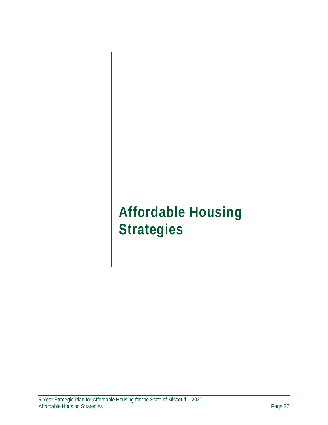## **Affordable Housing Strategies**

the contract of the contract of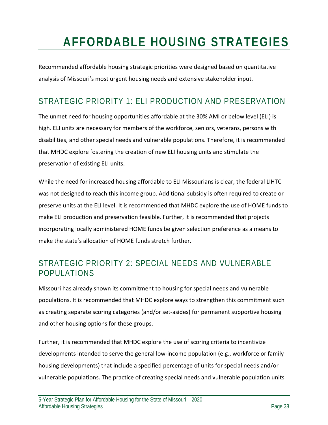## **AFFORDABLE HOUSING STRATEGIES**

Recommended affordable housing strategic priorities were designed based on quantitative analysis of Missouri's most urgent housing needs and extensive stakeholder input.

### STRATEGIC PRIORITY 1: ELI PRODUCTION AND PRESERVATION

The unmet need for housing opportunities affordable at the 30% AMI or below level (ELI) is high. ELI units are necessary for members of the workforce, seniors, veterans, persons with disabilities, and other special needs and vulnerable populations. Therefore, it is recommended that MHDC explore fostering the creation of new ELI housing units and stimulate the preservation of existing ELI units.

While the need for increased housing affordable to ELI Missourians is clear, the federal LIHTC was not designed to reach this income group. Additional subsidy is often required to create or preserve units at the ELI level. It is recommended that MHDC explore the use of HOME funds to make ELI production and preservation feasible. Further, it is recommended that projects incorporating locally administered HOME funds be given selection preference as a means to make the state's allocation of HOME funds stretch further.

### STRATEGIC PRIORITY 2: SPECIAL NEEDS AND VULNERABLE POPULATIONS

Missouri has already shown its commitment to housing for special needs and vulnerable populations. It is recommended that MHDC explore ways to strengthen this commitment such as creating separate scoring categories (and/or set‐asides) for permanent supportive housing and other housing options for these groups.

Further, it is recommended that MHDC explore the use of scoring criteria to incentivize developments intended to serve the general low-income population (e.g., workforce or family housing developments) that include a specified percentage of units for special needs and/or vulnerable populations. The practice of creating special needs and vulnerable population units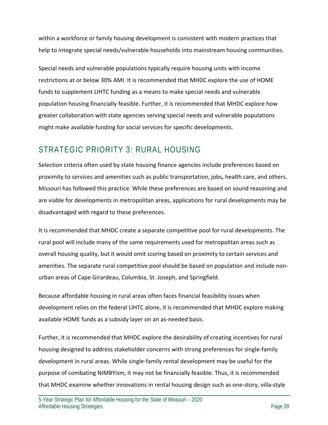within a workforce or family housing development is consistent with modern practices that help to integrate special needs/vulnerable households into mainstream housing communities.

Special needs and vulnerable populations typically require housing units with income restrictions at or below 30% AMI. It is recommended that MHDC explore the use of HOME funds to supplement LIHTC funding as a means to make special needs and vulnerable population housing financially feasible. Further, it is recommended that MHDC explore how greater collaboration with state agencies serving special needs and vulnerable populations might make available funding for social services for specific developments.

### STRATEGIC PRIORITY 3: RURAL HOUSING

Selection criteria often used by state housing finance agencies include preferences based on proximity to services and amenities such as public transportation, jobs, health care, and others. Missouri has followed this practice. While these preferences are based on sound reasoning and are viable for developments in metropolitan areas, applications for rural developments may be disadvantaged with regard to these preferences.

It is recommended that MHDC create a separate competitive pool for rural developments. The rural pool will include many of the same requirements used for metropolitan areas such as overall housing quality, but it would omit scoring based on proximity to certain services and amenities. The separate rural competitive pool should be based on population and include non‐ urban areas of Cape Girardeau, Columbia, St. Joseph, and Springfield.

Because affordable housing in rural areas often faces financial feasibility issues when development relies on the federal LIHTC alone, it is recommended that MHDC explore making available HOME funds as a subsidy layer on an as‐needed basis.

Further, it is recommended that MHDC explore the desirability of creating incentives for rural housing designed to address stakeholder concerns with strong preferences for single‐family development in rural areas. While single‐family rental development may be useful for the purpose of combating NIMBYism, it may not be financially feasible. Thus, it is recommended that MHDC examine whether innovations in rental housing design such as one‐story, villa‐style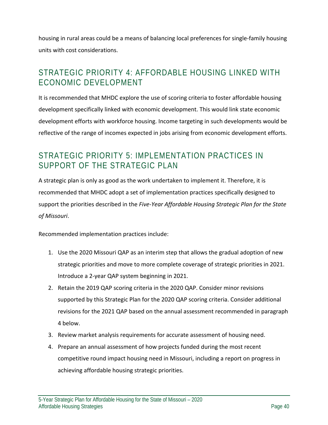housing in rural areas could be a means of balancing local preferences for single‐family housing units with cost considerations.

### STRATEGIC PRIORITY 4: AFFORDABLE HOUSING LINKED WITH ECONOMIC DEVELOPMENT

It is recommended that MHDC explore the use of scoring criteria to foster affordable housing development specifically linked with economic development. This would link state economic development efforts with workforce housing. Income targeting in such developments would be reflective of the range of incomes expected in jobs arising from economic development efforts.

#### STRATEGIC PRIORITY 5: IMPLEMENTATION PRACTICES IN SUPPORT OF THE STRATEGIC PLAN

A strategic plan is only as good as the work undertaken to implement it. Therefore, it is recommended that MHDC adopt a set of implementation practices specifically designed to support the priorities described in the *Five‐Year Affordable Housing Strategic Plan for the State of Missouri*.

Recommended implementation practices include:

- 1. Use the 2020 Missouri QAP as an interim step that allows the gradual adoption of new strategic priorities and move to more complete coverage of strategic priorities in 2021. Introduce a 2‐year QAP system beginning in 2021.
- 2. Retain the 2019 QAP scoring criteria in the 2020 QAP. Consider minor revisions supported by this Strategic Plan for the 2020 QAP scoring criteria. Consider additional revisions for the 2021 QAP based on the annual assessment recommended in paragraph 4 below.
- 3. Review market analysis requirements for accurate assessment of housing need.
- 4. Prepare an annual assessment of how projects funded during the most recent competitive round impact housing need in Missouri, including a report on progress in achieving affordable housing strategic priorities.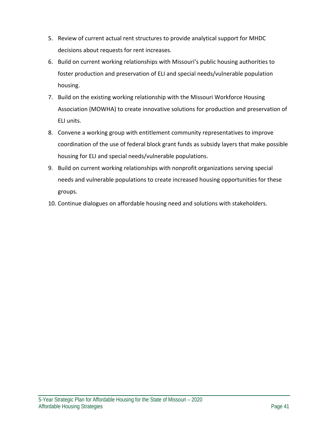- 5. Review of current actual rent structures to provide analytical support for MHDC decisions about requests for rent increases.
- 6. Build on current working relationships with Missouri's public housing authorities to foster production and preservation of ELI and special needs/vulnerable population housing.
- 7. Build on the existing working relationship with the Missouri Workforce Housing Association (MOWHA) to create innovative solutions for production and preservation of ELI units.
- 8. Convene a working group with entitlement community representatives to improve coordination of the use of federal block grant funds as subsidy layers that make possible housing for ELI and special needs/vulnerable populations.
- 9. Build on current working relationships with nonprofit organizations serving special needs and vulnerable populations to create increased housing opportunities for these groups.
- 10. Continue dialogues on affordable housing need and solutions with stakeholders.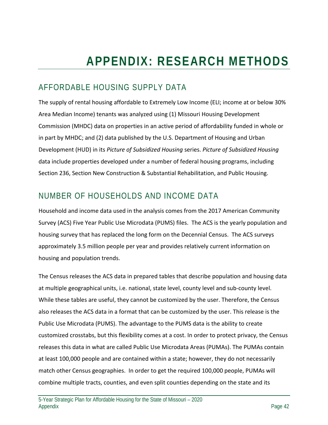### AFFORDABLE HOUSING SUPPLY DATA

The supply of rental housing affordable to Extremely Low Income (ELI; income at or below 30% Area Median Income) tenants was analyzed using (1) Missouri Housing Development Commission (MHDC) data on properties in an active period of affordability funded in whole or in part by MHDC; and (2) data published by the U.S. Department of Housing and Urban Development (HUD) in its *Picture of Subsidized Housing* series. *Picture of Subsidized Housing* data include properties developed under a number of federal housing programs, including Section 236, Section New Construction & Substantial Rehabilitation, and Public Housing.

### NUMBER OF HOUSEHOLDS AND INCOME DATA

Household and income data used in the analysis comes from the 2017 American Community Survey (ACS) Five Year Public Use Microdata (PUMS) files. The ACS is the yearly population and housing survey that has replaced the long form on the Decennial Census. The ACS surveys approximately 3.5 million people per year and provides relatively current information on housing and population trends.

The Census releases the ACS data in prepared tables that describe population and housing data at multiple geographical units, i.e. national, state level, county level and sub‐county level. While these tables are useful, they cannot be customized by the user. Therefore, the Census also releases the ACS data in a format that can be customized by the user. This release is the Public Use Microdata (PUMS). The advantage to the PUMS data is the ability to create customized crosstabs, but this flexibility comes at a cost. In order to protect privacy, the Census releases this data in what are called Public Use Microdata Areas (PUMAs). The PUMAs contain at least 100,000 people and are contained within a state; however, they do not necessarily match other Census geographies. In order to get the required 100,000 people, PUMAs will combine multiple tracts, counties, and even split counties depending on the state and its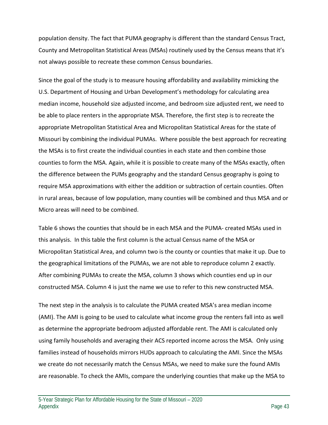population density. The fact that PUMA geography is different than the standard Census Tract, County and Metropolitan Statistical Areas (MSAs) routinely used by the Census means that it's not always possible to recreate these common Census boundaries.

Since the goal of the study is to measure housing affordability and availability mimicking the U.S. Department of Housing and Urban Development's methodology for calculating area median income, household size adjusted income, and bedroom size adjusted rent, we need to be able to place renters in the appropriate MSA. Therefore, the first step is to recreate the appropriate Metropolitan Statistical Area and Micropolitan Statistical Areas for the state of Missouri by combining the individual PUMAs. Where possible the best approach for recreating the MSAs is to first create the individual counties in each state and then combine those counties to form the MSA. Again, while it is possible to create many of the MSAs exactly, often the difference between the PUMs geography and the standard Census geography is going to require MSA approximations with either the addition or subtraction of certain counties. Often in rural areas, because of low population, many counties will be combined and thus MSA and or Micro areas will need to be combined.

Table 6 shows the counties that should be in each MSA and the PUMA‐ created MSAs used in this analysis. In this table the first column is the actual Census name of the MSA or Micropolitan Statistical Area, and column two is the county or counties that make it up. Due to the geographical limitations of the PUMAs, we are not able to reproduce column 2 exactly. After combining PUMAs to create the MSA, column 3 shows which counties end up in our constructed MSA. Column 4 is just the name we use to refer to this new constructed MSA.

The next step in the analysis is to calculate the PUMA created MSA's area median income (AMI). The AMI is going to be used to calculate what income group the renters fall into as well as determine the appropriate bedroom adjusted affordable rent. The AMI is calculated only using family households and averaging their ACS reported income across the MSA. Only using families instead of households mirrors HUDs approach to calculating the AMI. Since the MSAs we create do not necessarily match the Census MSAs, we need to make sure the found AMIs are reasonable. To check the AMIs, compare the underlying counties that make up the MSA to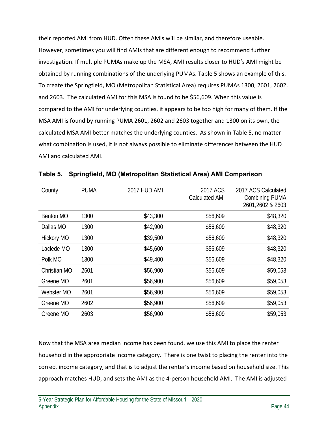their reported AMI from HUD. Often these AMIs will be similar, and therefore useable. However, sometimes you will find AMIs that are different enough to recommend further investigation. If multiple PUMAs make up the MSA, AMI results closer to HUD's AMI might be obtained by running combinations of the underlying PUMAs. Table 5 shows an example of this. To create the Springfield, MO (Metropolitan Statistical Area) requires PUMAs 1300, 2601, 2602, and 2603. The calculated AMI for this MSA is found to be \$56,609. When this value is compared to the AMI for underlying counties, it appears to be too high for many of them. If the MSA AMI is found by running PUMA 2601, 2602 and 2603 together and 1300 on its own, the calculated MSA AMI better matches the underlying counties. As shown in Table 5, no matter what combination is used, it is not always possible to eliminate differences between the HUD AMI and calculated AMI.

| County            | <b>PUMA</b> | <b>2017 HUD AMI</b> | 2017 ACS<br><b>Calculated AMI</b> | 2017 ACS Calculated<br>Combining PUMA<br>2601,2602 & 2603 |
|-------------------|-------------|---------------------|-----------------------------------|-----------------------------------------------------------|
| Benton MO         | 1300        | \$43,300            | \$56,609                          | \$48,320                                                  |
| Dallas MO         | 1300        | \$42,900            | \$56,609                          | \$48,320                                                  |
| <b>Hickory MO</b> | 1300        | \$39,500            | \$56,609                          | \$48,320                                                  |
| Laclede MO        | 1300        | \$45,600            | \$56,609                          | \$48,320                                                  |
| Polk MO           | 1300        | \$49,400            | \$56,609                          | \$48,320                                                  |
| Christian MO      | 2601        | \$56,900            | \$56,609                          | \$59,053                                                  |
| Greene MO         | 2601        | \$56,900            | \$56,609                          | \$59,053                                                  |
| Webster MO        | 2601        | \$56,900            | \$56,609                          | \$59,053                                                  |
| Greene MO         | 2602        | \$56,900            | \$56,609                          | \$59,053                                                  |
| Greene MO         | 2603        | \$56,900            | \$56,609                          | \$59,053                                                  |
|                   |             |                     |                                   |                                                           |

**Table 5. Springfield, MO (Metropolitan Statistical Area) AMI Comparison** 

Now that the MSA area median income has been found, we use this AMI to place the renter household in the appropriate income category. There is one twist to placing the renter into the correct income category, and that is to adjust the renter's income based on household size. This approach matches HUD, and sets the AMI as the 4‐person household AMI. The AMI is adjusted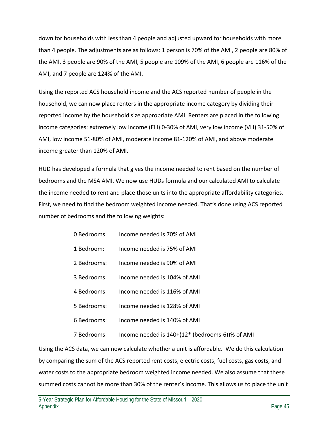down for households with less than 4 people and adjusted upward for households with more than 4 people. The adjustments are as follows: 1 person is 70% of the AMI, 2 people are 80% of the AMI, 3 people are 90% of the AMI, 5 people are 109% of the AMI, 6 people are 116% of the AMI, and 7 people are 124% of the AMI.

Using the reported ACS household income and the ACS reported number of people in the household, we can now place renters in the appropriate income category by dividing their reported income by the household size appropriate AMI. Renters are placed in the following income categories: extremely low income (ELI) 0‐30% of AMI, very low income (VLI) 31‐50% of AMI, low income 51‐80% of AMI, moderate income 81‐120% of AMI, and above moderate income greater than 120% of AMI.

HUD has developed a formula that gives the income needed to rent based on the number of bedrooms and the MSA AMI. We now use HUDs formula and our calculated AMI to calculate the income needed to rent and place those units into the appropriate affordability categories. First, we need to find the bedroom weighted income needed. That's done using ACS reported number of bedrooms and the following weights:

| 0 Bedrooms: | Income needed is 70% of AMI                     |
|-------------|-------------------------------------------------|
| 1 Bedroom:  | Income needed is 75% of AMI                     |
| 2 Bedrooms: | Income needed is 90% of AMI                     |
| 3 Bedrooms: | Income needed is 104% of AMI                    |
| 4 Bedrooms: | Income needed is 116% of AMI                    |
| 5 Bedrooms: | Income needed is 128% of AMI                    |
| 6 Bedrooms: | Income needed is 140% of AMI                    |
| 7 Bedrooms: | Income needed is 140+(12* (bedrooms-6))% of AMI |

Using the ACS data, we can now calculate whether a unit is affordable. We do this calculation by comparing the sum of the ACS reported rent costs, electric costs, fuel costs, gas costs, and water costs to the appropriate bedroom weighted income needed. We also assume that these summed costs cannot be more than 30% of the renter's income. This allows us to place the unit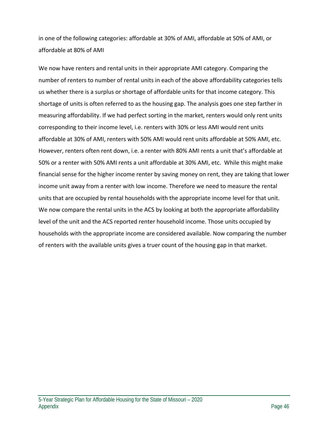in one of the following categories: affordable at 30% of AMI, affordable at 50% of AMI, or affordable at 80% of AMI

We now have renters and rental units in their appropriate AMI category. Comparing the number of renters to number of rental units in each of the above affordability categories tells us whether there is a surplus or shortage of affordable units for that income category. This shortage of units is often referred to as the housing gap. The analysis goes one step farther in measuring affordability. If we had perfect sorting in the market, renters would only rent units corresponding to their income level, i.e. renters with 30% or less AMI would rent units affordable at 30% of AMI, renters with 50% AMI would rent units affordable at 50% AMI, etc. However, renters often rent down, i.e. a renter with 80% AMI rents a unit that's affordable at 50% or a renter with 50% AMI rents a unit affordable at 30% AMI, etc. While this might make financial sense for the higher income renter by saving money on rent, they are taking that lower income unit away from a renter with low income. Therefore we need to measure the rental units that are occupied by rental households with the appropriate income level for that unit. We now compare the rental units in the ACS by looking at both the appropriate affordability level of the unit and the ACS reported renter household income. Those units occupied by households with the appropriate income are considered available. Now comparing the number of renters with the available units gives a truer count of the housing gap in that market.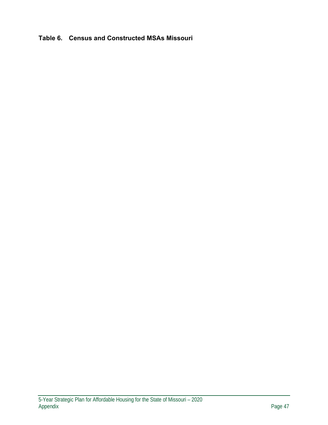#### **Table 6. Census and Constructed MSAs Missouri**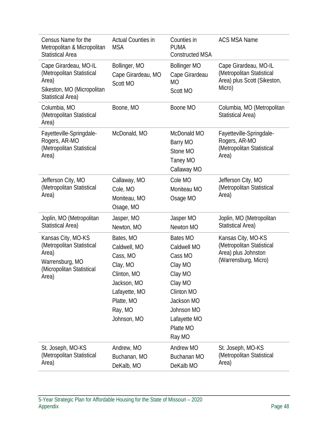| Census Name for the<br>Metropolitan & Micropolitan<br><b>Statistical Area</b>                                         | <b>Actual Counties in</b><br><b>MSA</b>                                                                                                  | Counties in<br><b>PUMA</b><br><b>Constructed MSA</b>                                                                                                        | <b>ACS MSA Name</b>                                                                            |
|-----------------------------------------------------------------------------------------------------------------------|------------------------------------------------------------------------------------------------------------------------------------------|-------------------------------------------------------------------------------------------------------------------------------------------------------------|------------------------------------------------------------------------------------------------|
| Cape Girardeau, MO-IL<br>(Metropolitan Statistical<br>Area)<br>Sikeston, MO (Micropolitan<br><b>Statistical Area)</b> | Bollinger, MO<br>Cape Girardeau, MO<br>Scott MO                                                                                          | <b>Bollinger MO</b><br>Cape Girardeau<br><b>MO</b><br>Scott MO                                                                                              | Cape Girardeau, MO-IL<br>(Metropolitan Statistical<br>Area) plus Scott (Sikeston,<br>Micro)    |
| Columbia, MO<br>(Metropolitan Statistical<br>Area)                                                                    | Boone, MO                                                                                                                                | Boone MO                                                                                                                                                    | Columbia, MO (Metropolitan<br><b>Statistical Area)</b>                                         |
| Fayetteville-Springdale-<br>Rogers, AR-MO<br>(Metropolitan Statistical<br>Area)                                       | McDonald, MO                                                                                                                             | McDonald MO<br>Barry MO<br>Stone MO<br>Taney MO<br>Callaway MO                                                                                              | Fayetteville-Springdale-<br>Rogers, AR-MO<br>(Metropolitan Statistical<br>Area)                |
| Jefferson City, MO<br>(Metropolitan Statistical<br>Area)                                                              | Callaway, MO<br>Cole, MO<br>Moniteau, MO<br>Osage, MO                                                                                    | Cole MO<br>Moniteau MO<br>Osage MO                                                                                                                          | Jefferson City, MO<br>(Metropolitan Statistical<br>Area)                                       |
| Joplin, MO (Metropolitan<br>Statistical Area)                                                                         | Jasper, MO<br>Newton, MO                                                                                                                 | Jasper MO<br>Newton MO                                                                                                                                      | Joplin, MO (Metropolitan<br>Statistical Area)                                                  |
| Kansas City, MO-KS<br>(Metropolitan Statistical<br>Area)<br>Warrensburg, MO<br>(Micropolitan Statistical<br>Area)     | Bates, MO<br>Caldwell, MO<br>Cass, MO<br>Clay, MO<br>Clinton, MO<br>Jackson, MO<br>Lafayette, MO<br>Platte, MO<br>Ray, MO<br>Johnson, MO | <b>Bates MO</b><br>Caldwell MO<br>Cass MO<br>Clay MO<br>Clay MO<br>Clay MO<br>Clinton MO<br>Jackson MO<br>Johnson MO<br>Lafayette MO<br>Platte MO<br>Ray MO | Kansas City, MO-KS<br>(Metropolitan Statistical<br>Area) plus Johnston<br>(Warrensburg, Micro) |
| St. Joseph, MO-KS<br>(Metropolitan Statistical<br>Area)                                                               | Andrew, MO<br>Buchanan, MO<br>DeKalb, MO                                                                                                 | Andrew MO<br>Buchanan MO<br>DeKalb MO                                                                                                                       | St. Joseph, MO-KS<br>(Metropolitan Statistical<br>Area)                                        |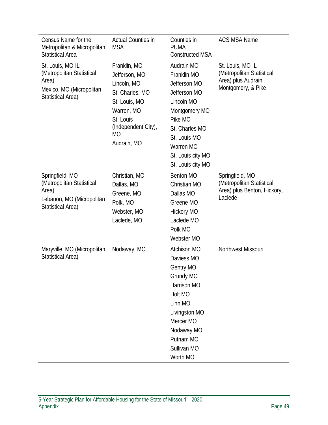| Census Name for the<br>Metropolitan & Micropolitan<br><b>Statistical Area</b>                                  | <b>Actual Counties in</b><br><b>MSA</b>                                                                                                                        | Counties in<br><b>PUMA</b><br><b>Constructed MSA</b>                                                                                                                                         | <b>ACS MSA Name</b>                                                                        |
|----------------------------------------------------------------------------------------------------------------|----------------------------------------------------------------------------------------------------------------------------------------------------------------|----------------------------------------------------------------------------------------------------------------------------------------------------------------------------------------------|--------------------------------------------------------------------------------------------|
| St. Louis, MO-IL<br>(Metropolitan Statistical<br>Area)<br>Mexico, MO (Micropolitan<br><b>Statistical Area)</b> | Franklin, MO<br>Jefferson, MO<br>Lincoln, MO<br>St. Charles, MO<br>St. Louis, MO<br>Warren, MO<br>St. Louis<br>(Independent City),<br><b>MO</b><br>Audrain, MO | Audrain MO<br>Franklin MO<br>Jefferson MO<br>Jefferson MO<br>Lincoln MO<br>Montgomery MO<br>Pike MO<br>St. Charles MO<br>St. Louis MO<br>Warren MO<br>St. Louis city MO<br>St. Louis city MO | St. Louis, MO-IL<br>(Metropolitan Statistical<br>Area) plus Audrain,<br>Montgomery, & Pike |
| Springfield, MO<br>(Metropolitan Statistical<br>Area)<br>Lebanon, MO (Micropolitan<br>Statistical Area)        | Christian, MO<br>Dallas, MO<br>Greene, MO<br>Polk, MO<br>Webster, MO<br>Laclede, MO                                                                            | Benton MO<br>Christian MO<br>Dallas MO<br>Greene MO<br><b>Hickory MO</b><br>Laclede MO<br>Polk MO<br>Webster MO                                                                              | Springfield, MO<br>(Metropolitan Statistical<br>Area) plus Benton, Hickory,<br>Laclede     |
| Maryville, MO (Micropolitan<br>Statistical Area)                                                               | Nodaway, MO                                                                                                                                                    | Atchison MO<br>Daviess MO<br><b>Gentry MO</b><br>Grundy MO<br>Harrison MO<br>Holt MO<br>Linn MO<br>Livingston MO<br>Mercer MO<br>Nodaway MO<br>Putnam MO<br>Sullivan MO<br>Worth MO          | Northwest Missouri                                                                         |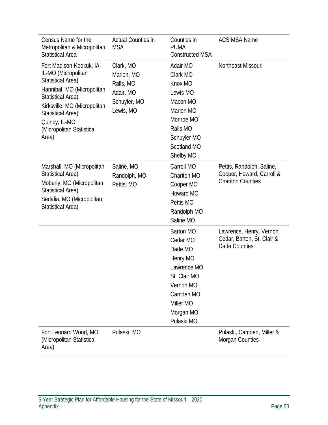| Census Name for the<br>Metropolitan & Micropolitan<br><b>Statistical Area</b>                                                                                                                                                                            | <b>Actual Counties in</b><br><b>MSA</b>                                        | Counties in<br><b>PUMA</b><br><b>Constructed MSA</b>                                                                                                 | <b>ACS MSA Name</b>                                                                |
|----------------------------------------------------------------------------------------------------------------------------------------------------------------------------------------------------------------------------------------------------------|--------------------------------------------------------------------------------|------------------------------------------------------------------------------------------------------------------------------------------------------|------------------------------------------------------------------------------------|
| Fort Madison-Keokuk, IA-<br>IL-MO (Micropolitan<br><b>Statistical Area)</b><br>Hannibal, MO (Micropolitan<br><b>Statistical Area)</b><br>Kirksville, MO (Micropolitan<br><b>Statistical Area)</b><br>Quincy, IL-MO<br>(Micropolitan Statistical<br>Area) | Clark, MO<br>Marion, MO<br>Ralls, MO<br>Adair, MO<br>Schuyler, MO<br>Lewis, MO | Adair MO<br>Clark MO<br>Knox MO<br>Lewis MO<br>Macon MO<br>Marion MO<br>Monroe MO<br>Ralls MO<br>Schuyler MO<br>Scotland MO<br>Shelby MO             | Northeast Missouri                                                                 |
| Marshall, MO (Micropolitan<br>Statistical Area)<br>Moberly, MO (Micropolitan<br><b>Statistical Area)</b><br>Sedalia, MO (Micropolitan<br>Statistical Area)                                                                                               | Saline, MO<br>Randolph, MO<br>Pettis, MO                                       | Carroll MO<br>Chariton MO<br>Cooper MO<br>Howard MO<br>Pettis MO<br>Randolph MO<br>Saline MO                                                         | Pettis, Randolph, Saline,<br>Cooper, Howard, Carroll &<br><b>Chariton Counties</b> |
|                                                                                                                                                                                                                                                          |                                                                                | <b>Barton MO</b><br>Cedar MO<br>Dade MO<br>Henry MO<br>Lawrence MO<br>St. Clair MO<br>Vernon MO<br>Camden MO<br>Miller MO<br>Morgan MO<br>Pulaski MO | Lawrence, Henry, Vernon,<br>Cedar, Barton, St. Clair &<br>Dade Counties            |
| Fort Leonard Wood, MO<br>(Micropolitan Statistical<br>Area)                                                                                                                                                                                              | Pulaski, MO                                                                    |                                                                                                                                                      | Pulaski, Camden, Miller &<br>Morgan Counties                                       |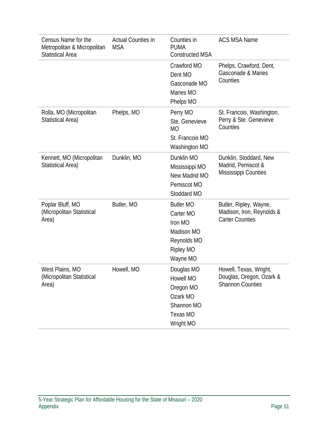| Census Name for the<br>Metropolitan & Micropolitan<br><b>Statistical Area</b> | <b>Actual Counties in</b><br><b>MSA</b> | Counties in<br><b>PUMA</b><br><b>Constructed MSA</b>                                                  | <b>ACS MSA Name</b>                                                           |
|-------------------------------------------------------------------------------|-----------------------------------------|-------------------------------------------------------------------------------------------------------|-------------------------------------------------------------------------------|
|                                                                               |                                         | Crawford MO<br>Dent MO<br>Gasconade MO<br>Maries MO<br>Phelps MO                                      | Phelps, Crawford, Dent,<br>Gasconade & Maries<br>Counties                     |
| Rolla, MO (Micropolitan<br>Statistical Area)                                  | Phelps, MO                              | Perry MO<br>Ste. Genevieve<br><b>MO</b><br>St. Francois MO<br>Washington MO                           | St. Francois, Washington,<br>Perry & Ste. Genevieve<br>Counties               |
| Kennett, MO (Micropolitan<br>Statistical Area)                                | Dunklin, MO                             | Dunklin MO<br>Mississippi MO<br>New Madrid MO<br>Pemiscot MO<br>Stoddard MO                           | Dunklin, Stoddard, New<br>Madrid, Pemiscot &<br>Mississippi Counties          |
| Poplar Bluff, MO<br>(Micropolitan Statistical<br>Area)                        | Butler, MO                              | <b>Butler MO</b><br>Carter MO<br>Iron MO<br>Madison MO<br>Reynolds MO<br><b>Ripley MO</b><br>Wayne MO | Butler, Ripley, Wayne,<br>Madison, Iron, Reynolds &<br><b>Carter Counties</b> |
| West Plains, MO<br>(Micropolitan Statistical<br>Area)                         | Howell, MO                              | Douglas MO<br>Howell MO<br>Oregon MO<br>Ozark MO<br>Shannon MO<br>Texas MO<br>Wright MO               | Howell, Texas, Wright,<br>Douglas, Oregon, Ozark &<br><b>Shannon Counties</b> |